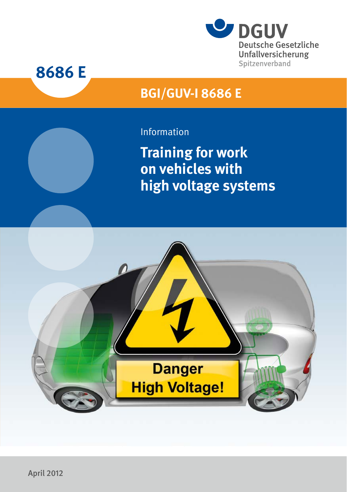



# **BGI/GUV-I 8686 E**

# Information

**Training for work on vehicles with high voltage systems** 

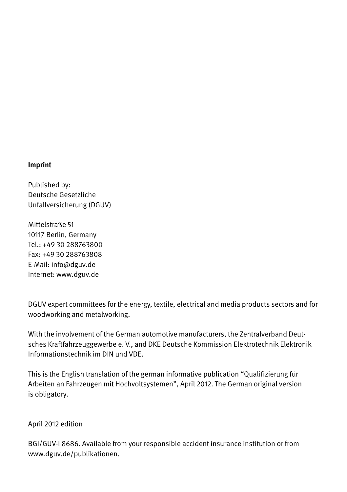#### **Imprint**

Published by: Deutsche Gesetzliche Unfallversicherung (DGUV)

Mittelstraße 51 10117 Berlin, Germany Tel.: +49 30 288763800 Fax: +49 30 288763808 E-Mail: info@dguv.de Internet: www.dguv.de

DGUV expert committees for the energy, textile, electrical and media products sectors and for woodworking and metalworking.

With the involvement of the German automotive manufacturers, the Zentralverband Deutsches Kraftfahrzeuggewerbe e. V., and DKE Deutsche Kommission Elektrotechnik Elektronik Informationstechnik im DIN und VDE.

This is the English translation of the german informative publication "Qualifizierung für Arbeiten an Fahrzeugen mit Hochvoltsystemen", April 2012. The German original version is obligatory.

April 2012 edition

BGI/GUV-I 8686. Available from your responsible accident insurance institution or from www.dguv.de/publikationen.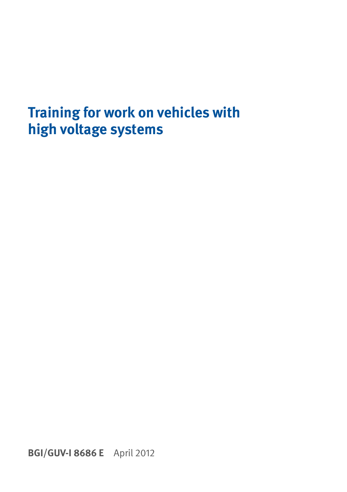# **Training for work on vehicles with high voltage systems**

**BGI/GUV-I 8686 E** April 2012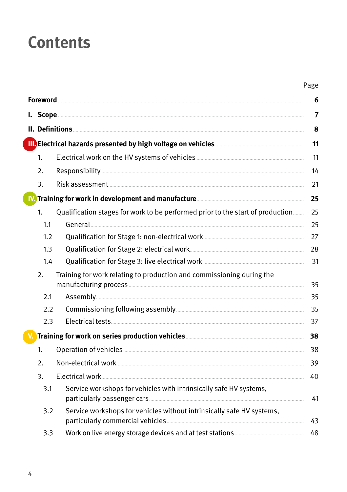# **Contents**

| × |  |
|---|--|
|---|--|

|     | II. Definitions <b>Executive Communities</b> and the contract of the contract of the contract of the contract of the contract of the contract of the contract of the contract of the contract of the contract of the contract of th |  |
|-----|-------------------------------------------------------------------------------------------------------------------------------------------------------------------------------------------------------------------------------------|--|
|     | III. Electrical hazards presented by high voltage on vehicles <b>Commission Contract Contract Present</b>                                                                                                                           |  |
| 1.  |                                                                                                                                                                                                                                     |  |
| 2.  |                                                                                                                                                                                                                                     |  |
| 3.  |                                                                                                                                                                                                                                     |  |
|     |                                                                                                                                                                                                                                     |  |
| 1.  | Qualification stages for work to be performed prior to the start of production                                                                                                                                                      |  |
| 1.1 |                                                                                                                                                                                                                                     |  |
| 1.2 |                                                                                                                                                                                                                                     |  |
| 1.3 |                                                                                                                                                                                                                                     |  |
| 1.4 |                                                                                                                                                                                                                                     |  |
| 2.  | Training for work relating to production and commissioning during the                                                                                                                                                               |  |
| 2.1 |                                                                                                                                                                                                                                     |  |
| 2.2 |                                                                                                                                                                                                                                     |  |
| 2.3 |                                                                                                                                                                                                                                     |  |
|     |                                                                                                                                                                                                                                     |  |
| 1.  |                                                                                                                                                                                                                                     |  |
| 2.  |                                                                                                                                                                                                                                     |  |
| 3.  |                                                                                                                                                                                                                                     |  |
| 3.1 | Service workshops for vehicles with intrinsically safe HV systems,                                                                                                                                                                  |  |
| 3.2 | Service workshops for vehicles without intrinsically safe HV systems,                                                                                                                                                               |  |
| 3.3 |                                                                                                                                                                                                                                     |  |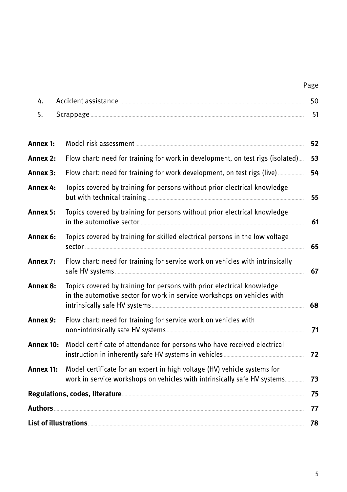# Page

| Δ |  |
|---|--|
|   |  |

| Annex 1:  | 52                                                                                                                                                   |    |  |  |
|-----------|------------------------------------------------------------------------------------------------------------------------------------------------------|----|--|--|
| Annex 2:  | Flow chart: need for training for work in development, on test rigs (isolated)<br>53                                                                 |    |  |  |
| Annex 3:  |                                                                                                                                                      | 54 |  |  |
| Annex 4:  | Topics covered by training for persons without prior electrical knowledge                                                                            | 55 |  |  |
| Annex 5:  | Topics covered by training for persons without prior electrical knowledge                                                                            | 61 |  |  |
| Annex 6:  | Topics covered by training for skilled electrical persons in the low voltage                                                                         | 65 |  |  |
| Annex 7:  | Flow chart: need for training for service work on vehicles with intrinsically                                                                        | 67 |  |  |
| Annex 8:  | Topics covered by training for persons with prior electrical knowledge<br>in the automotive sector for work in service workshops on vehicles with    | 68 |  |  |
| Annex 9:  | Flow chart: need for training for service work on vehicles with                                                                                      | 71 |  |  |
| Annex 10: | Model certificate of attendance for persons who have received electrical                                                                             | 72 |  |  |
| Annex 11: | Model certificate for an expert in high voltage (HV) vehicle systems for<br>work in service workshops on vehicles with intrinsically safe HV systems | 73 |  |  |
|           |                                                                                                                                                      | 75 |  |  |
| Authors   |                                                                                                                                                      | 77 |  |  |
|           | List of illustrations www.community.com/community/intervention-                                                                                      | 78 |  |  |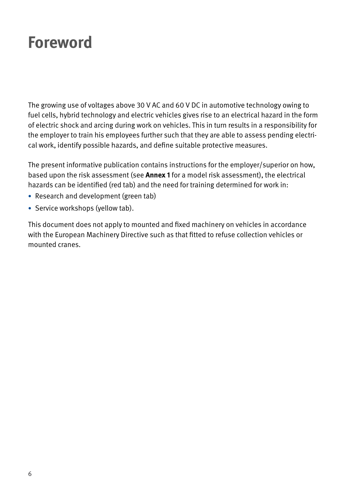# <span id="page-5-0"></span>**Foreword**

The growing use of voltages above 30 V AC and 60 V DC in automotive technology owing to fuel cells, hybrid technology and electric vehicles gives rise to an electrical hazard in the form of electric shock and arcing during work on vehicles. This in turn results in a responsibility for the employer to train his employees further such that they are able to assess pending electrical work, identify possible hazards, and define suitable protective measures.

The present informative publication contains instructions for the employer/superior on how, based upon the risk assessment (see **Annex 1** for a model risk assessment), the electrical hazards can be identified (red tab) and the need for training determined for work in:

- Research and development (green tab)
- Service workshops (yellow tab).

This document does not apply to mounted and fixed machinery on vehicles in accordance with the European Machinery Directive such as that fitted to refuse collection vehicles or mounted cranes.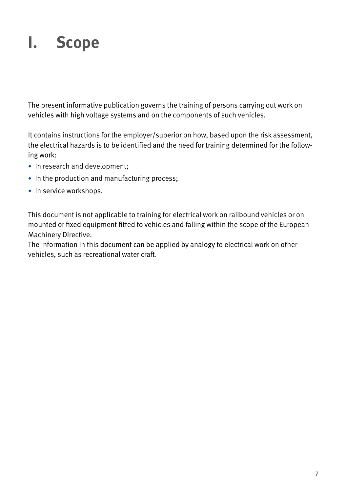# <span id="page-6-0"></span>**I. Scope**

The present informative publication governs the training of persons carrying out work on vehicles with high voltage systems and on the components of such vehicles.

It contains instructions for the employer/superior on how, based upon the risk assessment, the electrical hazards is to be identified and the need for training determined for the following work:

- In research and development;
- In the production and manufacturing process;
- In service workshops.

This document is not applicable to training for electrical work on railbound vehicles or on mounted or fixed equipment fitted to vehicles and falling within the scope of the European Machinery Directive.

The information in this document can be applied by analogy to electrical work on other vehicles, such as recreational water craft.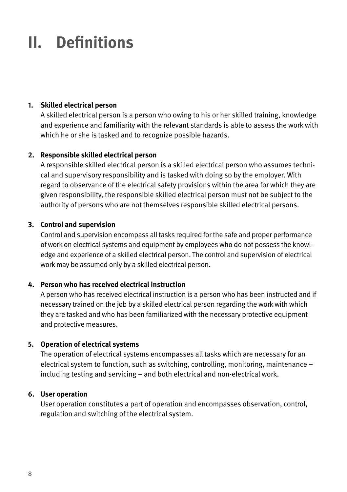# <span id="page-7-0"></span>**II. Definitions**

# **1. Skilled electrical person**

A skilled electrical person is a person who owing to his or her skilled training, knowledge and experience and familiarity with the relevant standards is able to assess the work with which he or she is tasked and to recognize possible hazards.

### **2. Responsible skilled electrical person**

A responsible skilled electrical person is a skilled electrical person who assumes technical and supervisory responsibility and is tasked with doing so by the employer. With regard to observance of the electrical safety provisions within the area for which they are given responsibility, the responsible skilled electrical person must not be subject to the authority of persons who are not themselves responsible skilled electrical persons.

#### **3. Control and supervision**

Control and supervision encompass all tasks required for the safe and proper performance of work on electrical systems and equipment by employees who do not possess the knowledge and experience of a skilled electrical person. The control and supervision of electrical work may be assumed only by a skilled electrical person.

### **4. Person who has received electrical instruction**

A person who has received electrical instruction is a person who has been instructed and if necessary trained on the job by a skilled electrical person regarding the work with which they are tasked and who has been familiarized with the necessary protective equipment and protective measures.

#### **5. Operation of electrical systems**

The operation of electrical systems encompasses all tasks which are necessary for an electrical system to function, such as switching, controlling, monitoring, maintenance – including testing and servicing – and both electrical and non-electrical work.

#### **6. User operation**

User operation constitutes a part of operation and encompasses observation, control, regulation and switching of the electrical system.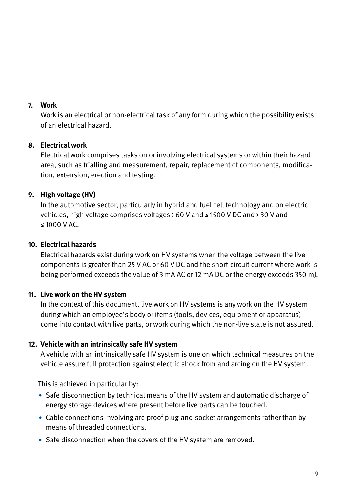#### **7. Work**

Work is an electrical or non-electrical task of any form during which the possibility exists of an electrical hazard.

### **8. Electrical work**

Electrical work comprises tasks on or involving electrical systems or within their hazard area, such as trialling and measurement, repair, replacement of components, modification, extension, erection and testing.

# **9. High voltage (HV)**

In the automotive sector, particularly in hybrid and fuel cell technology and on electric vehicles, high voltage comprises voltages > 60 V and ≤ 1500 V DC and > 30 V and ≤ 1000 V AC.

### **10. Electrical hazards**

Electrical hazards exist during work on HV systems when the voltage between the live components is greater than 25 V AC or 60 V DC and the short-circuit current where work is being performed exceeds the value of 3 mA AC or 12 mA DC or the energy exceeds 350 mJ.

### **11. Live work on the HV system**

In the context of this document, live work on HV systems is any work on the HV system during which an employee's body or items (tools, devices, equipment or apparatus) come into contact with live parts, or work during which the non-live state is not assured.

### **12. Vehicle with an intrinsically safe HV system**

A vehicle with an intrinsically safe HV system is one on which technical measures on the vehicle assure full protection against electric shock from and arcing on the HV system.

This is achieved in particular by:

- Safe disconnection by technical means of the HV system and automatic discharge of energy storage devices where present before live parts can be touched.
- Cable connections involving arc-proof plug-and-socket arrangements rather than by means of threaded connections.
- Safe disconnection when the covers of the HV system are removed.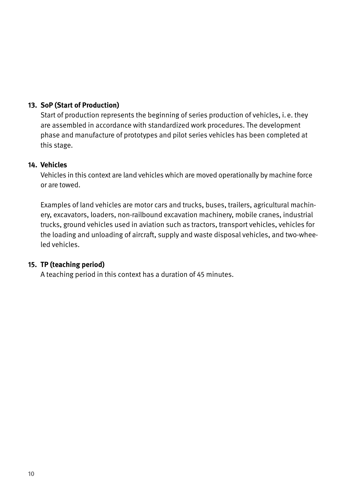# **13. SoP (Start of Production)**

Start of production represents the beginning of series production of vehicles, i.e. they are assembled in accordance with standardized work procedures. The development phase and manufacture of prototypes and pilot series vehicles has been completed at this stage.

#### **14. Vehicles**

Vehicles in this context are land vehicles which are moved operationally by machine force or are towed.

Examples of land vehicles are motor cars and trucks, buses, trailers, agricultural machinery, excavators, loaders, non-railbound excavation machinery, mobile cranes, industrial trucks, ground vehicles used in aviation such as tractors, transport vehicles, vehicles for the loading and unloading of aircraft, supply and waste disposal vehicles, and two-wheeled vehicles.

### **15. TP (teaching period)**

A teaching period in this context has a duration of 45 minutes.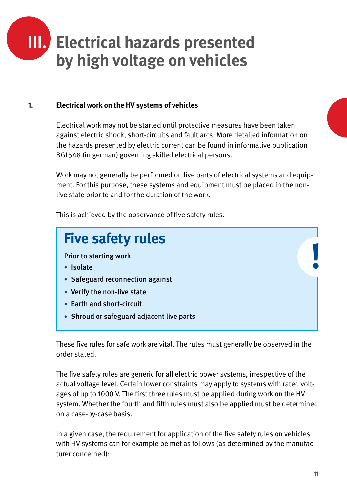<span id="page-10-0"></span>

#### **1. Electrical work on the HV systems of vehicles**

Electrical work may not be started until protective measures have been taken against electric shock, short-circuits and fault arcs. More detailed information on the hazards presented by electric current can be found in informative publication BGI 548 (in german) governing skilled electrical persons.

Work may not generally be performed on live parts of electrical systems and equipment. For this purpose, these systems and equipment must be placed in the nonlive state prior to and for the duration of the work.

This is achieved by the observance of five safety rules.



These five rules for safe work are vital. The rules must generally be observed in the order stated.

The five safety rules are generic for all electric power systems, irrespective of the actual voltage level. Certain lower constraints may apply to systems with rated voltages of up to 1000 V. The first three rules must be applied during work on the HV system. Whether the fourth and fifth rules must also be applied must be determined on a case-by-case basis.

In a given case, the requirement for application of the five safety rules on vehicles with HV systems can for example be met as follows (as determined by the manufacturer concerned):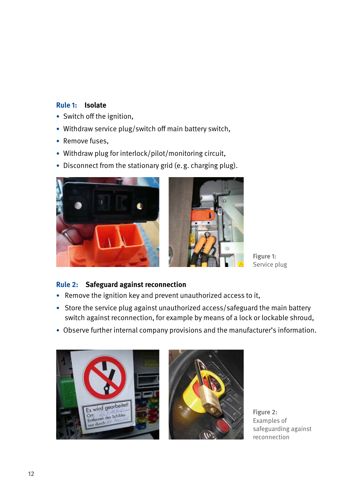## **Rule 1: Isolate**

- Switch off the ignition,
- Withdraw service plug/switch off main battery switch,
- Remove fuses,
- Withdraw plug for interlock/pilot/monitoring circuit,
- Disconnect from the stationary grid (e.g. charging plug).





Figure 1: Service plug

# **Rule 2: Safeguard against reconnection**

- Remove the ignition key and prevent unauthorized access to it,
- Store the service plug against unauthorized access/safeguard the main battery switch against reconnection, for example by means of a lock or lockable shroud,
- Observe further internal company provisions and the manufacturer's information.



Figure 2: Examples of safeguarding against reconnection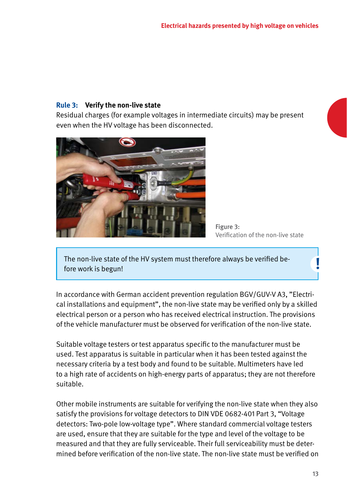# **Rule 3: Verify the non-live state**

Residual charges (for example voltages in intermediate circuits) may be present even when the HV voltage has been disconnected.





The non-live state of the HV system must therefore always be verified be-fore work is begun! **!**

In accordance with German accident prevention regulation BGV/GUV-V A3, "Electrical installations and equipment", the non-live state may be verified only by a skilled electrical person or a person who has received electrical instruction. The provisions of the vehicle manufacturer must be observed for verification of the non-live state.

Suitable voltage testers or test apparatus specific to the manufacturer must be used. Test apparatus is suitable in particular when it has been tested against the necessary criteria by a test body and found to be suitable. Multimeters have led to a high rate of accidents on high-energy parts of apparatus; they are not therefore suitable.

Other mobile instruments are suitable for verifying the non-live state when they also satisfy the provisions for voltage detectors to DIN VDE 0682-401 Part 3, "Voltage detectors: Two-pole low-voltage type". Where standard commercial voltage testers are used, ensure that they are suitable for the type and level of the voltage to be measured and that they are fully serviceable. Their full serviceability must be determined before verification of the non-live state. The non-live state must be verified on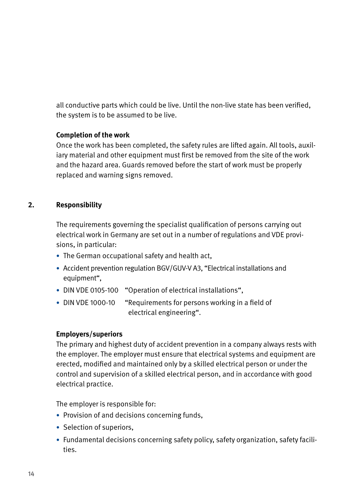<span id="page-13-0"></span>all conductive parts which could be live. Until the non-live state has been verified, the system is to be assumed to be live.

#### **Completion of the work**

Once the work has been completed, the safety rules are lifted again. All tools, auxiliary material and other equipment must first be removed from the site of the work and the hazard area. Guards removed before the start of work must be properly replaced and warning signs removed.

# **2. Responsibility**

The requirements governing the specialist qualification of persons carrying out electrical work in Germany are set out in a number of regulations and VDE provisions, in particular:

- The German occupational safety and health act,
- Accident prevention regulation BGV/GUV-V A3, "Electrical installations and equipment",
- DIN VDE 0105-100 "Operation of electrical installations",
- DIN VDE 1000-10 "Requirements for persons working in a field of electrical engineering".

#### **Employers/superiors**

The primary and highest duty of accident prevention in a company always rests with the employer. The employer must ensure that electrical systems and equipment are erected, modified and maintained only by a skilled electrical person or under the control and supervision of a skilled electrical person, and in accordance with good electrical practice.

The employer is responsible for:

- Provision of and decisions concerning funds,
- Selection of superiors,
- Fundamental decisions concerning safety policy, safety organization, safety facilities.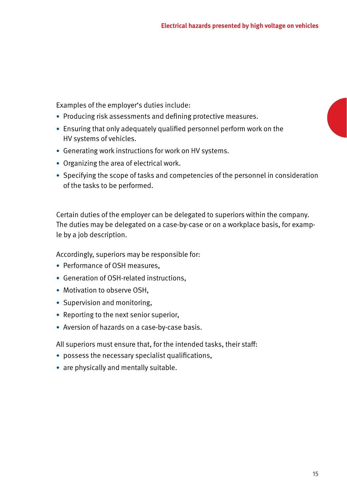Examples of the employer's duties include:

- Producing risk assessments and defining protective measures.
- Ensuring that only adequately qualified personnel perform work on the HV systems of vehicles.
- Generating work instructions for work on HV systems.
- Organizing the area of electrical work.
- Specifying the scope of tasks and competencies of the personnel in consideration of the tasks to be performed.

Certain duties of the employer can be delegated to superiors within the company. The duties may be delegated on a case-by-case or on a workplace basis, for example by a job description.

Accordingly, superiors may be responsible for:

- Performance of OSH measures,
- Generation of OSH-related instructions,
- Motivation to observe OSH,
- Supervision and monitoring,
- Reporting to the next senior superior,
- Aversion of hazards on a case-by-case basis.

All superiors must ensure that, for the intended tasks, their staff:

- possess the necessary specialist qualifications,
- are physically and mentally suitable.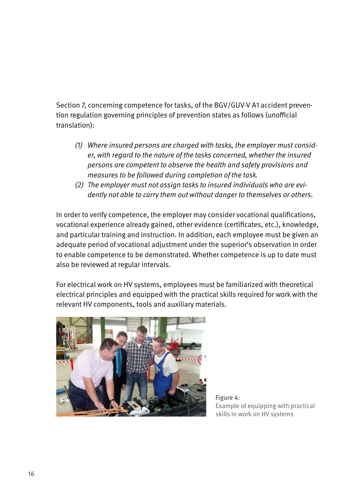Section 7, concerning competence for tasks, of the BGV/GUV-V A1 accident prevention regulation governing principles of prevention states as follows (unofficial translation):

- *(1) Where insured persons are charged with tasks, the employer must consider, with regard to the nature of the tasks concerned, whether the insured persons are competent to observe the health and safety provisions and measures to be followed during completion of the task.*
- *(2) The employer must not assign tasks to insured individuals who are evidently not able to carry them out without danger to themselves or others.*

In order to verify competence, the employer may consider vocational qualifications, vocational experience already gained, other evidence (certificates, etc.), knowledge, and particular training and instruction. In addition, each employee must be given an adequate period of vocational adjustment under the superior's observation in order to enable competence to be demonstrated. Whether competence is up to date must also be reviewed at regular intervals.

For electrical work on HV systems, employees must be familiarized with theoretical electrical principles and equipped with the practical skills required for work with the relevant HV components, tools and auxiliary materials.



Figure 4: Example of equipping with practical skills in work on HV systems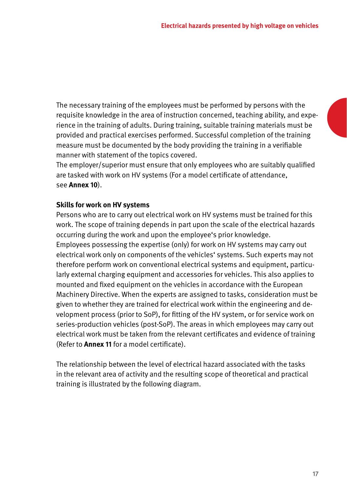The necessary training of the employees must be performed by persons with the requisite knowledge in the area of instruction concerned, teaching ability, and experience in the training of adults. During training, suitable training materials must be provided and practical exercises performed. Successful completion of the training measure must be documented by the body providing the training in a verifiable manner with statement of the topics covered.

The employer/superior must ensure that only employees who are suitably qualified are tasked with work on HV systems (For a model certificate of attendance, see **Annex 10**).

#### **Skills for work on HV systems**

Persons who are to carry out electrical work on HV systems must be trained for this work. The scope of training depends in part upon the scale of the electrical hazards occurring during the work and upon the employee's prior knowledge. Employees possessing the expertise (only) for work on HV systems may carry out electrical work only on components of the vehicles' systems. Such experts may not therefore perform work on conventional electrical systems and equipment, particularly external charging equipment and accessories for vehicles. This also applies to mounted and fixed equipment on the vehicles in accordance with the European Machinery Directive. When the experts are assigned to tasks, consideration must be given to whether they are trained for electrical work within the engineering and development process (prior to SoP), for fitting of the HV system, or for service work on series-production vehicles (post-SoP). The areas in which employees may carry out electrical work must be taken from the relevant certificates and evidence of training (Refer to **Annex 11** for a model certificate).

The relationship between the level of electrical hazard associated with the tasks in the relevant area of activity and the resulting scope of theoretical and practical training is illustrated by the following diagram.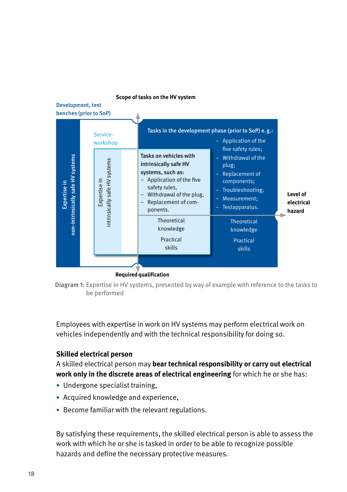#### **Scope of tasks on the HV system**

#### Development, test benches (prior to SoP)



**Required qualification**

Diagram 1: Expertise in HV systems, presented by way of example with reference to the tasks to be performed

Employees with expertise in work on HV systems may perform electrical work on vehicles independently and with the technical responsibility for doing so.

### **Skilled electrical person**

A skilled electrical person may **bear technical responsibility or carry out electrical work only in the discrete areas of electrical engineering** for which he or she has:

- Undergone specialist training,
- Acquired knowledge and experience,
- Become familiar with the relevant regulations.

By satisfying these requirements, the skilled electrical person is able to assess the work with which he or she is tasked in order to be able to recognize possible hazards and define the necessary protective measures.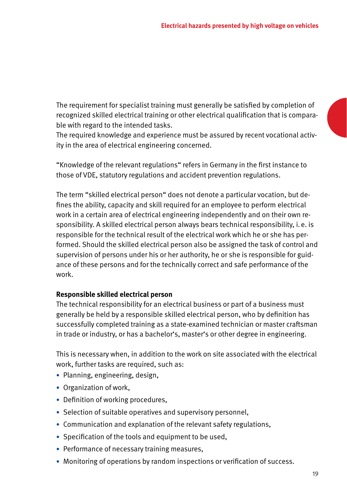The requirement for specialist training must generally be satisfied by completion of recognized skilled electrical training or other electrical qualification that is comparable with regard to the intended tasks.

The required knowledge and experience must be assured by recent vocational activity in the area of electrical engineering concerned.

"Knowledge of the relevant regulations" refers in Germany in the first instance to those of VDE, statutory regulations and accident prevention regulations.

The term "skilled electrical person" does not denote a particular vocation, but defines the ability, capacity and skill required for an employee to perform electrical work in a certain area of electrical engineering independently and on their own responsibility. A skilled electrical person always bears technical responsibility, i.e. is responsible for the technical result of the electrical work which he or she has performed. Should the skilled electrical person also be assigned the task of control and supervision of persons under his or her authority, he or she is responsible for guidance of these persons and for the technically correct and safe performance of the work.

### **Responsible skilled electrical person**

The technical responsibility for an electrical business or part of a business must generally be held by a responsible skilled electrical person, who by definition has successfully completed training as a state-examined technician or master craftsman in trade or industry, or has a bachelor's, master's or other degree in engineering.

This is necessary when, in addition to the work on site associated with the electrical work, further tasks are required, such as:

- Planning, engineering, design,
- Organization of work,
- Definition of working procedures,
- Selection of suitable operatives and supervisory personnel,
- Communication and explanation of the relevant safety regulations,
- Specification of the tools and equipment to be used,
- Performance of necessary training measures,
- Monitoring of operations by random inspections or verification of success.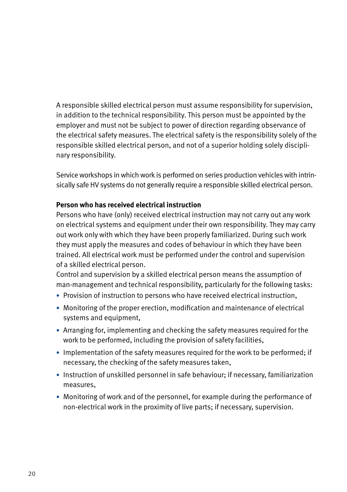A responsible skilled electrical person must assume responsibility for supervision, in addition to the technical responsibility. This person must be appointed by the employer and must not be subject to power of direction regarding observance of the electrical safety measures. The electrical safety is the responsibility solely of the responsible skilled electrical person, and not of a superior holding solely disciplinary responsibility.

Service workshops in which work is performed on series production vehicles with intrinsically safe HV systems do not generally require a responsible skilled electrical person.

### **Person who has received electrical instruction**

Persons who have (only) received electrical instruction may not carry out any work on electrical systems and equipment under their own responsibility. They may carry out work only with which they have been properly familiarized. During such work they must apply the measures and codes of behaviour in which they have been trained. All electrical work must be performed under the control and supervision of a skilled electrical person.

Control and supervision by a skilled electrical person means the assumption of man-management and technical responsibility, particularly for the following tasks:

- Provision of instruction to persons who have received electrical instruction,
- Monitoring of the proper erection, modification and maintenance of electrical systems and equipment,
- Arranging for, implementing and checking the safety measures required for the work to be performed, including the provision of safety facilities,
- Implementation of the safety measures required for the work to be performed; if necessary, the checking of the safety measures taken,
- Instruction of unskilled personnel in safe behaviour; if necessary, familiarization measures,
- Monitoring of work and of the personnel, for example during the performance of non-electrical work in the proximity of live parts; if necessary, supervision.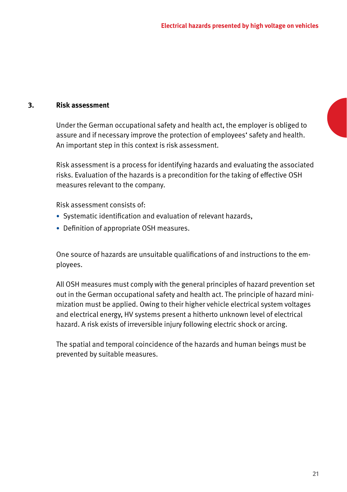#### <span id="page-20-0"></span>**3. Risk assessment**

Under the German occupational safety and health act, the employer is obliged to assure and if necessary improve the protection of employees' safety and health. An important step in this context is risk assessment.

Risk assessment is a process for identifying hazards and evaluating the associated risks. Evaluation of the hazards is a precondition for the taking of effective OSH measures relevant to the company.

Risk assessment consists of:

- Systematic identification and evaluation of relevant hazards,
- Definition of appropriate OSH measures.

One source of hazards are unsuitable qualifications of and instructions to the employees.

All OSH measures must comply with the general principles of hazard prevention set out in the German occupational safety and health act. The principle of hazard minimization must be applied. Owing to their higher vehicle electrical system voltages and electrical energy, HV systems present a hitherto unknown level of electrical hazard. A risk exists of irreversible injury following electric shock or arcing.

The spatial and temporal coincidence of the hazards and human beings must be prevented by suitable measures.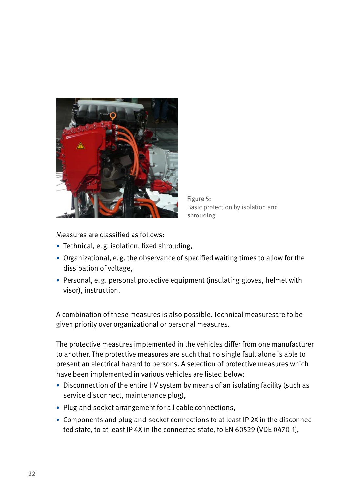

Figure 5: Basic protection by isolation and shrouding

Measures are classified as follows:

- Technical, e.g. isolation, fixed shrouding,
- Organizational, e.g. the observance of specified waiting times to allow for the dissipation of voltage,
- Personal, e.g. personal protective equipment (insulating gloves, helmet with visor), instruction.

A combination of these measures is also possible. Technical measuresare to be given priority over organizational or personal measures.

The protective measures implemented in the vehicles differ from one manufacturer to another. The protective measures are such that no single fault alone is able to present an electrical hazard to persons. A selection of protective measures which have been implemented in various vehicles are listed below:

- Disconnection of the entire HV system by means of an isolating facility (such as service disconnect, maintenance plug),
- Plug-and-socket arrangement for all cable connections,
- Components and plug-and-socket connections to at least IP 2X in the disconnected state, to at least IP 4X in the connected state, to EN 60529 (VDE 0470-1),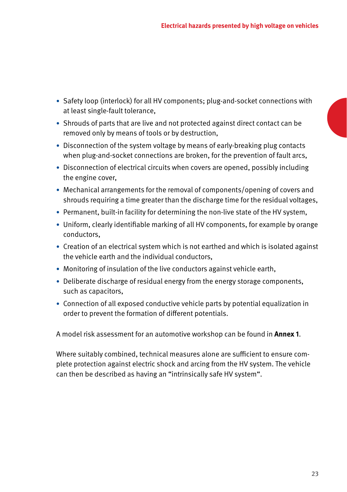- Safety loop (interlock) for all HV components; plug-and-socket connections with at least single-fault tolerance,
- Shrouds of parts that are live and not protected against direct contact can be removed only by means of tools or by destruction,
- Disconnection of the system voltage by means of early-breaking plug contacts when plug-and-socket connections are broken, for the prevention of fault arcs,
- Disconnection of electrical circuits when covers are opened, possibly including the engine cover,
- Mechanical arrangements for the removal of components/opening of covers and shrouds requiring a time greater than the discharge time for the residual voltages,
- Permanent, built-in facility for determining the non-live state of the HV system,
- Uniform, clearly identifiable marking of all HV components, for example by orange conductors,
- Creation of an electrical system which is not earthed and which is isolated against the vehicle earth and the individual conductors,
- Monitoring of insulation of the live conductors against vehicle earth,
- Deliberate discharge of residual energy from the energy storage components, such as capacitors,
- Connection of all exposed conductive vehicle parts by potential equalization in order to prevent the formation of different potentials.

A model risk assessment for an automotive workshop can be found in **Annex 1**.

Where suitably combined, technical measures alone are sufficient to ensure complete protection against electric shock and arcing from the HV system. The vehicle can then be described as having an "intrinsically safe HV system".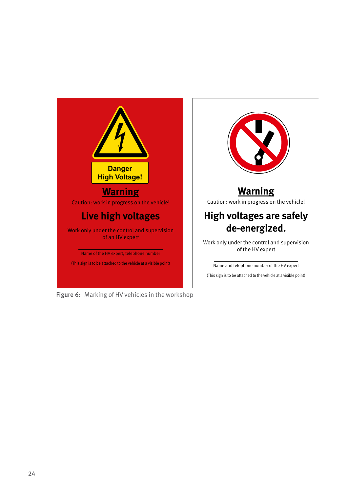

Figure 6: Marking of HV vehicles in the workshop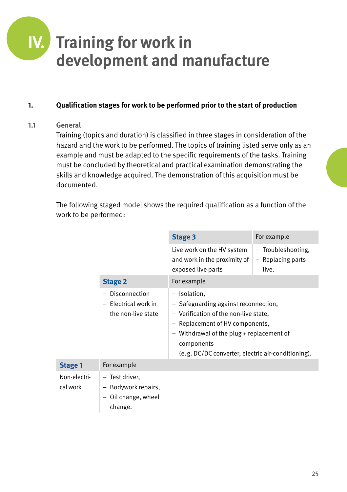# <span id="page-24-0"></span>**IV. Training for work in development and manufacture**

# **1. Qualification stages for work to be performed prior to the start of production**

# **1.1 General**

Training (topics and duration) is classified in three stages in consideration of the hazard and the work to be performed. The topics of training listed serve only as an example and must be adapted to the specific requirements of the tasks. Training must be concluded by theoretical and practical examination demonstrating the skills and knowledge acquired. The demonstration of this acquisition must be documented.

The following staged model shows the required qualification as a function of the work to be performed:

|                          |                                                                       | Stage 3                                                                                                                                                                                                                                           | For example                                      |
|--------------------------|-----------------------------------------------------------------------|---------------------------------------------------------------------------------------------------------------------------------------------------------------------------------------------------------------------------------------------------|--------------------------------------------------|
|                          |                                                                       | Live work on the HV system<br>and work in the proximity of<br>exposed live parts                                                                                                                                                                  | - Troubleshooting,<br>- Replacing parts<br>live. |
|                          | <b>Stage 2</b>                                                        | For example                                                                                                                                                                                                                                       |                                                  |
|                          | Disconnection<br>- Electrical work in<br>the non-live state           | - Isolation,<br>- Safeguarding against reconnection,<br>- Verification of the non-live state,<br>- Replacement of HV components,<br>- Withdrawal of the plug + replacement of<br>components<br>(e.g. DC/DC converter, electric air-conditioning). |                                                  |
| Stage 1                  | For example                                                           |                                                                                                                                                                                                                                                   |                                                  |
| Non-electri-<br>cal work | - Test driver.<br>- Bodywork repairs,<br>Oil change, wheel<br>change. |                                                                                                                                                                                                                                                   |                                                  |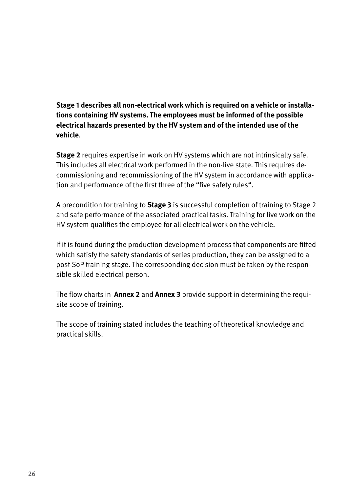**Stage 1 describes all non-electrical work which is required on a vehicle or installations containing HV systems. The employees must be informed of the possible electrical hazards presented by the HV system and of the intended use of the vehicle**.

**Stage 2** requires expertise in work on HV systems which are not intrinsically safe. This includes all electrical work performed in the non-live state. This requires decommissioning and recommissioning of the HV system in accordance with application and performance of the first three of the "five safety rules".

A precondition for training to **Stage 3** is successful completion of training to Stage 2 and safe performance of the associated practical tasks. Training for live work on the HV system qualifies the employee for all electrical work on the vehicle.

If it is found during the production development process that components are fitted which satisfy the safety standards of series production, they can be assigned to a post-SoP training stage. The corresponding decision must be taken by the responsible skilled electrical person.

The flow charts in **Annex 2** and **Annex 3** provide support in determining the requisite scope of training.

The scope of training stated includes the teaching of theoretical knowledge and practical skills.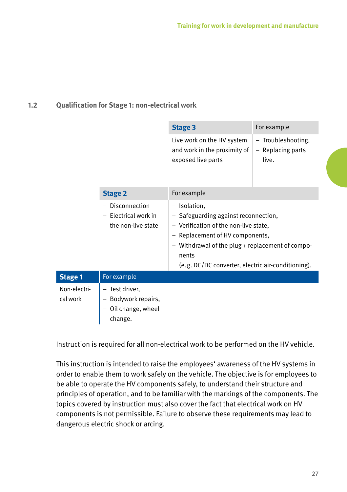# <span id="page-26-0"></span>**1.2 Qualification for Stage 1: non-electrical work**

|                          |                                                                       | Stage 3                                                                                                                                                                                                                                           | For example                                      |  |
|--------------------------|-----------------------------------------------------------------------|---------------------------------------------------------------------------------------------------------------------------------------------------------------------------------------------------------------------------------------------------|--------------------------------------------------|--|
|                          |                                                                       | Live work on the HV system<br>and work in the proximity of<br>exposed live parts                                                                                                                                                                  | - Troubleshooting,<br>- Replacing parts<br>live. |  |
|                          | <b>Stage 2</b>                                                        | For example                                                                                                                                                                                                                                       |                                                  |  |
|                          | Disconnection<br>- Electrical work in<br>the non-live state           | - Isolation,<br>- Safeguarding against reconnection,<br>- Verification of the non-live state,<br>- Replacement of HV components,<br>Withdrawal of the plug + replacement of compo-<br>nents<br>(e.g. DC/DC converter, electric air-conditioning). |                                                  |  |
| <b>Stage 1</b>           | For example                                                           |                                                                                                                                                                                                                                                   |                                                  |  |
| Non-electri-<br>cal work | - Test driver.<br>- Bodywork repairs,<br>Oil change, wheel<br>change. |                                                                                                                                                                                                                                                   |                                                  |  |

Instruction is required for all non-electrical work to be performed on the HV vehicle.

This instruction is intended to raise the employees' awareness of the HV systems in order to enable them to work safely on the vehicle. The objective is for employees to be able to operate the HV components safely, to understand their structure and principles of operation, and to be familiar with the markings of the components. The topics covered by instruction must also cover the fact that electrical work on HV components is not permissible. Failure to observe these requirements may lead to dangerous electric shock or arcing.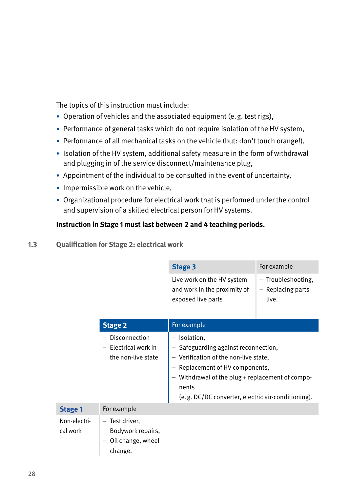<span id="page-27-0"></span>The topics of this instruction must include:

- Operation of vehicles and the associated equipment (e.g. test rigs),
- Performance of general tasks which do not require isolation of the HV system,
- Performance of all mechanical tasks on the vehicle (but: don't touch orange!),
- Isolation of the HV system, additional safety measure in the form of withdrawal and plugging in of the service disconnect/maintenance plug,
- Appointment of the individual to be consulted in the event of uncertainty,
- Impermissible work on the vehicle,
- Organizational procedure for electrical work that is performed under the control and supervision of a skilled electrical person for HV systems.

# **Instruction in Stage 1 must last between 2 and 4 teaching periods.**

### **1.3 Qualification for Stage 2: electrical work**

|                          |                                                                            | <b>Stage 3</b>                                                                                                                                                                                                                                  | For example                                      |
|--------------------------|----------------------------------------------------------------------------|-------------------------------------------------------------------------------------------------------------------------------------------------------------------------------------------------------------------------------------------------|--------------------------------------------------|
|                          |                                                                            | Live work on the HV system<br>and work in the proximity of<br>exposed live parts                                                                                                                                                                | - Troubleshooting,<br>- Replacing parts<br>live. |
|                          | <b>Stage 2</b>                                                             | For example                                                                                                                                                                                                                                     |                                                  |
|                          | Disconnection<br>- Electrical work in<br>the non-live state                | - Isolation,<br>- Safeguarding against reconnection,<br>- Verification of the non-live state,<br>Replacement of HV components,<br>Withdrawal of the plug + replacement of compo-<br>nents<br>(e.g. DC/DC converter, electric air-conditioning). |                                                  |
| <b>Stage 1</b>           | For example                                                                |                                                                                                                                                                                                                                                 |                                                  |
| Non-electri-<br>cal work | - Test driver,<br>- Bodywork repairs,<br>Oil change, wheel<br>-<br>change. |                                                                                                                                                                                                                                                 |                                                  |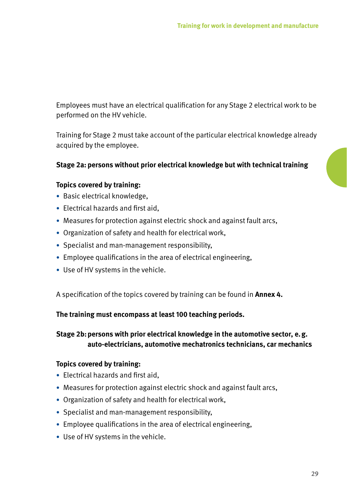Employees must have an electrical qualification for any Stage 2 electrical work to be performed on the HV vehicle.

Training for Stage 2 must take account of the particular electrical knowledge already acquired by the employee.

#### **Stage 2a: persons without prior electrical knowledge but with technical training**

#### **Topics covered by training:**

- Basic electrical knowledge,
- Electrical hazards and first aid,
- Measures for protection against electric shock and against fault arcs,
- Organization of safety and health for electrical work,
- Specialist and man-management responsibility,
- Employee qualifications in the area of electrical engineering,
- Use of HV systems in the vehicle.

A specification of the topics covered by training can be found in **Annex 4.**

#### **The training must encompass at least 100 teaching periods.**

**Stage 2b: persons with prior electrical knowledge in the automotive sector, e.g. auto-electricians, automotive mechatronics technicians, car mechanics**

#### **Topics covered by training:**

- Electrical hazards and first aid,
- Measures for protection against electric shock and against fault arcs,
- Organization of safety and health for electrical work,
- Specialist and man-management responsibility,
- Employee qualifications in the area of electrical engineering,
- Use of HV systems in the vehicle.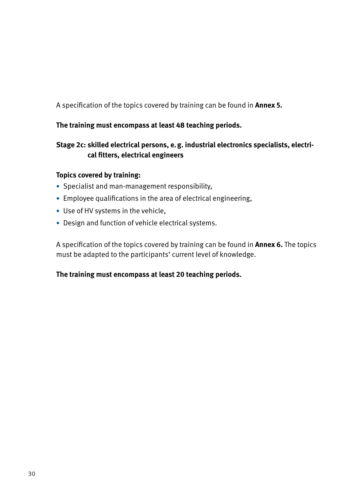A specification of the topics covered by training can be found in **Annex 5.**

### **The training must encompass at least 48 teaching periods.**

# **Stage 2c: skilled electrical persons, e.g. industrial electronics specialists, electrical fitters, electrical engineers**

#### **Topics covered by training:**

- Specialist and man-management responsibility,
- Employee qualifications in the area of electrical engineering,
- Use of HV systems in the vehicle,
- Design and function of vehicle electrical systems.

A specification of the topics covered by training can be found in **Annex 6.** The topics must be adapted to the participants' current level of knowledge.

### **The training must encompass at least 20 teaching periods.**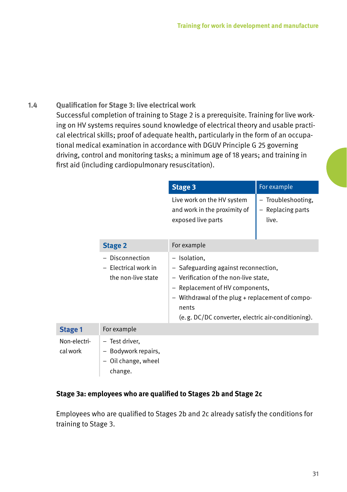## <span id="page-30-0"></span>**1.4 Qualification for Stage 3: live electrical work**

Successful completion of training to Stage 2 is a prerequisite. Training for live working on HV systems requires sound knowledge of electrical theory and usable practical electrical skills; proof of adequate health, particularly in the form of an occupational medical examination in accordance with DGUV Principle G 25 governing driving, control and monitoring tasks; a minimum age of 18 years; and training in first aid (including cardiopulmonary resuscitation).

|                          |                                                                         | <b>Stage 3</b>                                                                                                                                                                                                                                      | For example                                      |  |
|--------------------------|-------------------------------------------------------------------------|-----------------------------------------------------------------------------------------------------------------------------------------------------------------------------------------------------------------------------------------------------|--------------------------------------------------|--|
|                          |                                                                         | Live work on the HV system<br>and work in the proximity of<br>exposed live parts                                                                                                                                                                    | - Troubleshooting,<br>- Replacing parts<br>live. |  |
|                          | <b>Stage 2</b>                                                          | For example                                                                                                                                                                                                                                         |                                                  |  |
|                          | Disconnection<br>- Electrical work in<br>the non-live state             | - Isolation,<br>- Safeguarding against reconnection,<br>- Verification of the non-live state,<br>- Replacement of HV components,<br>- Withdrawal of the plug + replacement of compo-<br>nents<br>(e.g. DC/DC converter, electric air-conditioning). |                                                  |  |
| <b>Stage 1</b>           | For example                                                             |                                                                                                                                                                                                                                                     |                                                  |  |
| Non-electri-<br>cal work | - Test driver,<br>- Bodywork repairs,<br>- Oil change, wheel<br>change. |                                                                                                                                                                                                                                                     |                                                  |  |

#### **Stage 3a: employees who are qualified to Stages 2b and Stage 2c**

Employees who are qualified to Stages 2b and 2c already satisfy the conditions for training to Stage 3.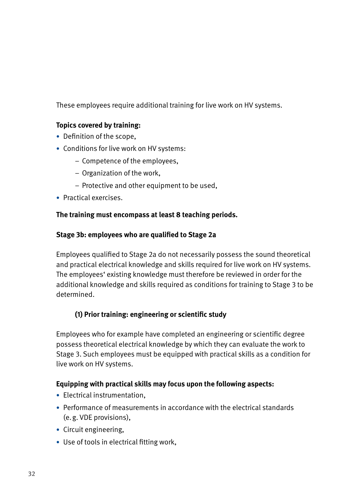These employees require additional training for live work on HV systems.

# **Topics covered by training:**

- Definition of the scope,
- Conditions for live work on HV systems:
	- Competence of the employees,
	- Organization of the work,
	- Protective and other equipment to be used,
- Practical exercises.

# **The training must encompass at least 8 teaching periods.**

# **Stage 3b: employees who are qualified to Stage 2a**

Employees qualified to Stage 2a do not necessarily possess the sound theoretical and practical electrical knowledge and skills required for live work on HV systems. The employees' existing knowledge must therefore be reviewed in order for the additional knowledge and skills required as conditions for training to Stage 3 to be determined.

# **(1) Prior training: engineering or scientific study**

Employees who for example have completed an engineering or scientific degree possess theoretical electrical knowledge by which they can evaluate the work to Stage 3. Such employees must be equipped with practical skills as a condition for live work on HV systems.

# **Equipping with practical skills may focus upon the following aspects:**

- Electrical instrumentation,
- Performance of measurements in accordance with the electrical standards (e.g. VDE provisions),
- Circuit engineering,
- Use of tools in electrical fitting work,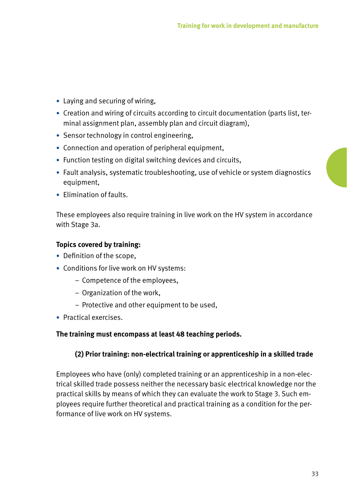- Laying and securing of wiring,
- Creation and wiring of circuits according to circuit documentation (parts list, terminal assignment plan, assembly plan and circuit diagram),
- Sensor technology in control engineering,
- Connection and operation of peripheral equipment,
- Function testing on digital switching devices and circuits,
- Fault analysis, systematic troubleshooting, use of vehicle or system diagnostics equipment,
- Elimination of faults.

These employees also require training in live work on the HV system in accordance with Stage 3a.

#### **Topics covered by training:**

- Definition of the scope,
- Conditions for live work on HV systems:
	- Competence of the employees,
	- Organization of the work,
	- Protective and other equipment to be used,
- Practical exercises.

#### **The training must encompass at least 48 teaching periods.**

### **(2) Prior training: non-electrical training or apprenticeship in a skilled trade**

Employees who have (only) completed training or an apprenticeship in a non-electrical skilled trade possess neither the necessary basic electrical knowledge nor the practical skills by means of which they can evaluate the work to Stage 3. Such employees require further theoretical and practical training as a condition for the performance of live work on HV systems.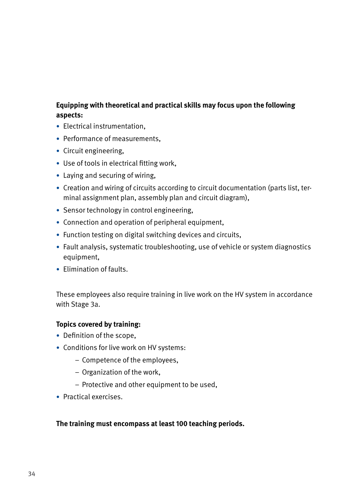# **Equipping with theoretical and practical skills may focus upon the following aspects:**

- Electrical instrumentation,
- Performance of measurements,
- Circuit engineering,
- Use of tools in electrical fitting work,
- Laying and securing of wiring,
- Creation and wiring of circuits according to circuit documentation (parts list, terminal assignment plan, assembly plan and circuit diagram),
- Sensor technology in control engineering,
- Connection and operation of peripheral equipment,
- Function testing on digital switching devices and circuits,
- Fault analysis, systematic troubleshooting, use of vehicle or system diagnostics equipment,
- Elimination of faults.

These employees also require training in live work on the HV system in accordance with Stage 3a.

#### **Topics covered by training:**

- Definition of the scope,
- Conditions for live work on HV systems:
	- Competence of the employees,
	- Organization of the work,
	- Protective and other equipment to be used,
- Practical exercises.

#### **The training must encompass at least 100 teaching periods.**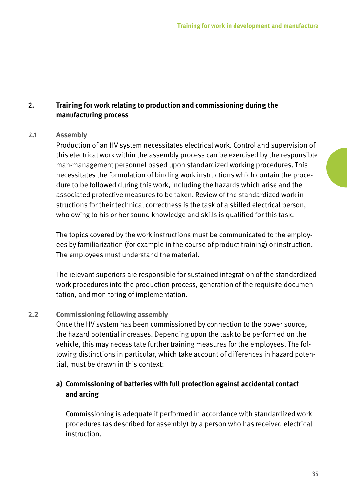# <span id="page-34-0"></span>**2. Training for work relating to production and commissioning during the manufacturing process**

#### **2.1 Assembly**

Production of an HV system necessitates electrical work. Control and supervision of this electrical work within the assembly process can be exercised by the responsible man-management personnel based upon standardized working procedures. This necessitates the formulation of binding work instructions which contain the procedure to be followed during this work, including the hazards which arise and the associated protective measures to be taken. Review of the standardized work instructions for their technical correctness is the task of a skilled electrical person, who owing to his or her sound knowledge and skills is qualified for this task.

The topics covered by the work instructions must be communicated to the employees by familiarization (for example in the course of product training) or instruction. The employees must understand the material.

The relevant superiors are responsible for sustained integration of the standardized work procedures into the production process, generation of the requisite documentation, and monitoring of implementation.

#### **2.2 Commissioning following assembly**

Once the HV system has been commissioned by connection to the power source, the hazard potential increases. Depending upon the task to be performed on the vehicle, this may necessitate further training measures for the employees. The following distinctions in particular, which take account of differences in hazard potential, must be drawn in this context:

# **a) Commissioning of batteries with full protection against accidental contact and arcing**

Commissioning is adequate if performed in accordance with standardized work procedures (as described for assembly) by a person who has received electrical instruction.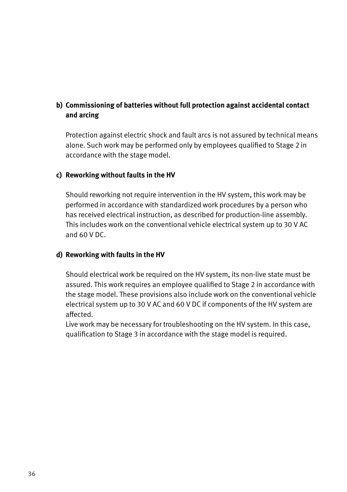# **b) Commissioning of batteries without full protection against accidental contact and arcing**

Protection against electric shock and fault arcs is not assured by technical means alone. Such work may be performed only by employees qualified to Stage 2 in accordance with the stage model.

### **c) Reworking without faults in the HV**

Should reworking not require intervention in the HV system, this work may be performed in accordance with standardized work procedures by a person who has received electrical instruction, as described for production-line assembly. This includes work on the conventional vehicle electrical system up to 30 V AC and 60 V DC.

#### **d) Reworking with faults in the HV**

Should electrical work be required on the HV system, its non-live state must be assured. This work requires an employee qualified to Stage 2 in accordance with the stage model. These provisions also include work on the conventional vehicle electrical system up to 30 V AC and 60 V DC if components of the HV system are affected.

Live work may be necessary for troubleshooting on the HV system. In this case, qualification to Stage 3 in accordance with the stage model is required.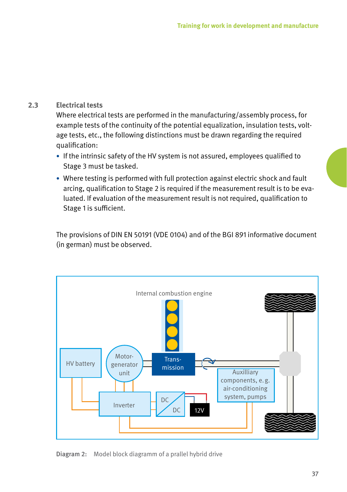#### **2.3 Electrical tests**

Where electrical tests are performed in the manufacturing/assembly process, for example tests of the continuity of the potential equalization, insulation tests, voltage tests, etc., the following distinctions must be drawn regarding the required qualification:

- If the intrinsic safety of the HV system is not assured, employees qualified to Stage 3 must be tasked.
- Where testing is performed with full protection against electric shock and fault arcing, qualification to Stage 2 is required if the measurement result is to be evaluated. If evaluation of the measurement result is not required, qualification to Stage 1 is sufficient.

The provisions of DIN EN 50191 (VDE 0104) and of the BGI 891 informative document (in german) must be observed.



Diagram 2: Model block diagramm of a prallel hybrid drive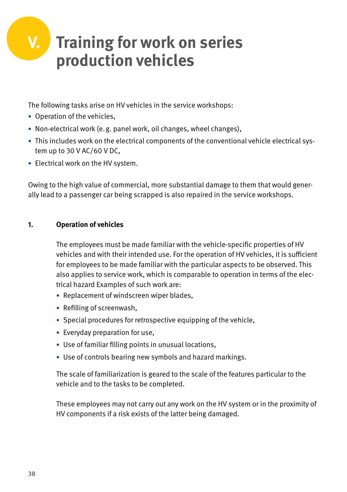# **V. Training for work on series production vehicles**

The following tasks arise on HV vehicles in the service workshops:

- Operation of the vehicles,
- Non-electrical work (e.g. panel work, oil changes, wheel changes),
- This includes work on the electrical components of the conventional vehicle electrical system up to 30 V AC/60 V DC,
- Electrical work on the HV system.

Owing to the high value of commercial, more substantial damage to them that would generally lead to a passenger car being scrapped is also repaired in the service workshops.

#### **1. Operation of vehicles**

The employees must be made familiar with the vehicle-specific properties of HV vehicles and with their intended use. For the operation of HV vehicles, it is sufficient for employees to be made familiar with the particular aspects to be observed. This also applies to service work, which is comparable to operation in terms of the electrical hazard Examples of such work are:

- Replacement of windscreen wiper blades,
- Refilling of screenwash,
- Special procedures for retrospective equipping of the vehicle,
- Everyday preparation for use,
- Use of familiar filling points in unusual locations,
- Use of controls bearing new symbols and hazard markings.

The scale of familiarization is geared to the scale of the features particular to the vehicle and to the tasks to be completed.

These employees may not carry out any work on the HV system or in the proximity of HV components if a risk exists of the latter being damaged.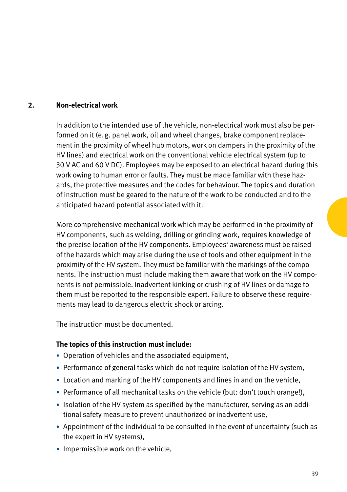#### **2. Non-electrical work**

In addition to the intended use of the vehicle, non-electrical work must also be performed on it (e.g. panel work, oil and wheel changes, brake component replacement in the proximity of wheel hub motors, work on dampers in the proximity of the HV lines) and electrical work on the conventional vehicle electrical system (up to 30 V AC and 60 V DC). Employees may be exposed to an electrical hazard during this work owing to human error or faults. They must be made familiar with these hazards, the protective measures and the codes for behaviour. The topics and duration of instruction must be geared to the nature of the work to be conducted and to the anticipated hazard potential associated with it.

More comprehensive mechanical work which may be performed in the proximity of HV components, such as welding, drilling or grinding work, requires knowledge of the precise location of the HV components. Employees' awareness must be raised of the hazards which may arise during the use of tools and other equipment in the proximity of the HV system. They must be familiar with the markings of the components. The instruction must include making them aware that work on the HV components is not permissible. Inadvertent kinking or crushing of HV lines or damage to them must be reported to the responsible expert. Failure to observe these requirements may lead to dangerous electric shock or arcing.

The instruction must be documented.

#### **The topics of this instruction must include:**

- Operation of vehicles and the associated equipment,
- Performance of general tasks which do not require isolation of the HV system,
- Location and marking of the HV components and lines in and on the vehicle,
- Performance of all mechanical tasks on the vehicle (but: don't touch orange!),
- Isolation of the HV system as specified by the manufacturer, serving as an additional safety measure to prevent unauthorized or inadvertent use,
- Appointment of the individual to be consulted in the event of uncertainty (such as the expert in HV systems),
- Impermissible work on the vehicle,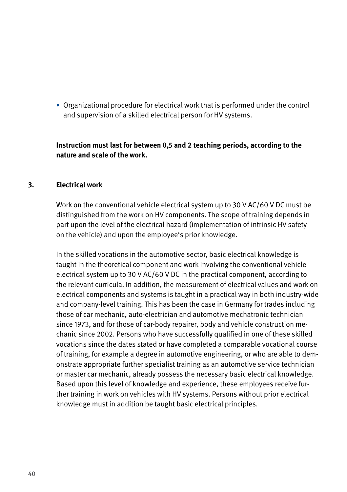• Organizational procedure for electrical work that is performed under the control and supervision of a skilled electrical person for HV systems.

**Instruction must last for between 0,5 and 2 teaching periods, according to the nature and scale of the work.**

#### **3. Electrical work**

Work on the conventional vehicle electrical system up to 30 V AC/60 V DC must be distinguished from the work on HV components. The scope of training depends in part upon the level of the electrical hazard (implementation of intrinsic HV safety on the vehicle) and upon the employee's prior knowledge.

In the skilled vocations in the automotive sector, basic electrical knowledge is taught in the theoretical component and work involving the conventional vehicle electrical system up to 30 V AC/60 V DC in the practical component, according to the relevant curricula. In addition, the measurement of electrical values and work on electrical components and systems is taught in a practical way in both industry-wide and company-level training. This has been the case in Germany for trades including those of car mechanic, auto-electrician and automotive mechatronic technician since 1973, and for those of car-body repairer, body and vehicle construction mechanic since 2002. Persons who have successfully qualified in one of these skilled vocations since the dates stated or have completed a comparable vocational course of training, for example a degree in automotive engineering, or who are able to demonstrate appropriate further specialist training as an automotive service technician or master car mechanic, already possess the necessary basic electrical knowledge. Based upon this level of knowledge and experience, these employees receive further training in work on vehicles with HV systems. Persons without prior electrical knowledge must in addition be taught basic electrical principles.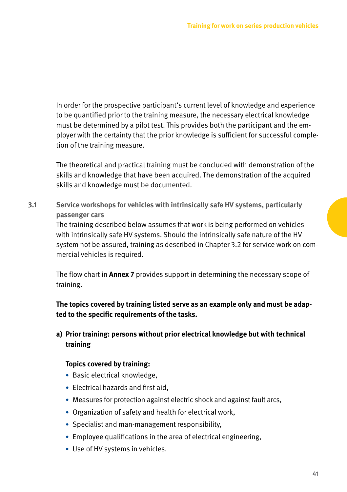In order for the prospective participant's current level of knowledge and experience to be quantified prior to the training measure, the necessary electrical knowledge must be determined by a pilot test. This provides both the participant and the employer with the certainty that the prior knowledge is sufficient for successful completion of the training measure.

The theoretical and practical training must be concluded with demonstration of the skills and knowledge that have been acquired. The demonstration of the acquired skills and knowledge must be documented.

**3.1 Service workshops for vehicles with intrinsically safe HV systems, particularly passenger cars** The training described below assumes that work is being performed on vehicles with intrinsically safe HV systems. Should the intrinsically safe nature of the HV system not be assured, training as described in Chapter 3.2 for service work on commercial vehicles is required.

The flow chart in **Annex 7** provides support in determining the necessary scope of training.

**The topics covered by training listed serve as an example only and must be adapted to the specific requirements of the tasks.**

#### **a) Prior training: persons without prior electrical knowledge but with technical training**

#### **Topics covered by training:**

- Basic electrical knowledge,
- Electrical hazards and first aid,
- Measures for protection against electric shock and against fault arcs,
- Organization of safety and health for electrical work,
- Specialist and man-management responsibility,
- Employee qualifications in the area of electrical engineering,
- Use of HV systems in vehicles.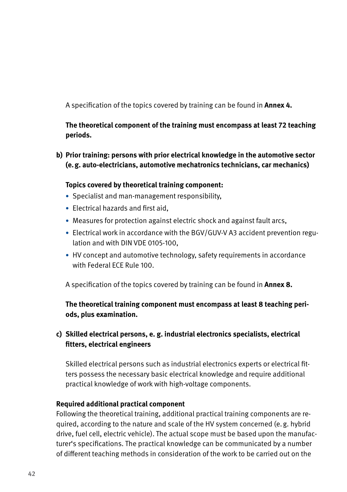A specification of the topics covered by training can be found in **Annex 4.** 

**The theoretical component of the training must encompass at least 72 teaching periods.**

**b) Prior training: persons with prior electrical knowledge in the automotive sector (e.g. auto-electricians, automotive mechatronics technicians, car mechanics)**

#### **Topics covered by theoretical training component:**

- Specialist and man-management responsibility,
- Electrical hazards and first aid,
- Measures for protection against electric shock and against fault arcs,
- Electrical work in accordance with the BGV/GUV-V A3 accident prevention regulation and with DIN VDE 0105-100,
- HV concept and automotive technology, safety requirements in accordance with Federal ECE Rule 100.

A specification of the topics covered by training can be found in **Annex 8.**

#### **The theoretical training component must encompass at least 8 teaching periods, plus examination.**

#### **c) Skilled electrical persons, e. g. industrial electronics specialists, electrical fitters, electrical engineers**

Skilled electrical persons such as industrial electronics experts or electrical fitters possess the necessary basic electrical knowledge and require additional practical knowledge of work with high-voltage components.

#### **Required additional practical component**

Following the theoretical training, additional practical training components are required, according to the nature and scale of the HV system concerned (e.g. hybrid drive, fuel cell, electric vehicle). The actual scope must be based upon the manufacturer's specifications. The practical knowledge can be communicated by a number of different teaching methods in consideration of the work to be carried out on the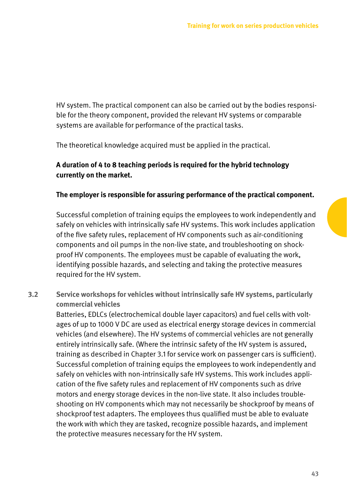HV system. The practical component can also be carried out by the bodies responsible for the theory component, provided the relevant HV systems or comparable systems are available for performance of the practical tasks.

The theoretical knowledge acquired must be applied in the practical.

#### **A duration of 4 to 8 teaching periods is required for the hybrid technology currently on the market.**

#### **The employer is responsible for assuring performance of the practical component.**

Successful completion of training equips the employees to work independently and safely on vehicles with intrinsically safe HV systems. This work includes application of the five safety rules, replacement of HV components such as air-conditioning components and oil pumps in the non-live state, and troubleshooting on shockproof HV components. The employees must be capable of evaluating the work, identifying possible hazards, and selecting and taking the protective measures required for the HV system.

**3.2 Service workshops for vehicles without intrinsically safe HV systems, particularly commercial vehicles**

Batteries, EDLCs (electrochemical double layer capacitors) and fuel cells with voltages of up to 1000 V DC are used as electrical energy storage devices in commercial vehicles (and elsewhere). The HV systems of commercial vehicles are not generally entirely intrinsically safe. (Where the intrinsic safety of the HV system is assured, training as described in Chapter 3.1 for service work on passenger cars is sufficient). Successful completion of training equips the employees to work independently and safely on vehicles with non-intrinsically safe HV systems. This work includes application of the five safety rules and replacement of HV components such as drive motors and energy storage devices in the non-live state. It also includes troubleshooting on HV components which may not necessarily be shockproof by means of shockproof test adapters. The employees thus qualified must be able to evaluate the work with which they are tasked, recognize possible hazards, and implement the protective measures necessary for the HV system.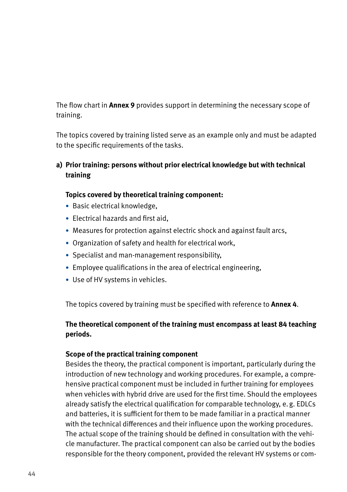The flow chart in **Annex 9** provides support in determining the necessary scope of training.

The topics covered by training listed serve as an example only and must be adapted to the specific requirements of the tasks.

**a) Prior training: persons without prior electrical knowledge but with technical training**

#### **Topics covered by theoretical training component:**

- Basic electrical knowledge,
- Electrical hazards and first aid,
- Measures for protection against electric shock and against fault arcs,
- Organization of safety and health for electrical work,
- Specialist and man-management responsibility,
- Employee qualifications in the area of electrical engineering,
- Use of HV systems in vehicles.

The topics covered by training must be specified with reference to **Annex 4**.

#### **The theoretical component of the training must encompass at least 84 teaching periods.**

#### **Scope of the practical training component**

Besides the theory, the practical component is important, particularly during the introduction of new technology and working procedures. For example, a comprehensive practical component must be included in further training for employees when vehicles with hybrid drive are used for the first time. Should the employees already satisfy the electrical qualification for comparable technology, e.g. EDLCs and batteries, it is sufficient for them to be made familiar in a practical manner with the technical differences and their influence upon the working procedures. The actual scope of the training should be defined in consultation with the vehicle manufacturer. The practical component can also be carried out by the bodies responsible for the theory component, provided the relevant HV systems or com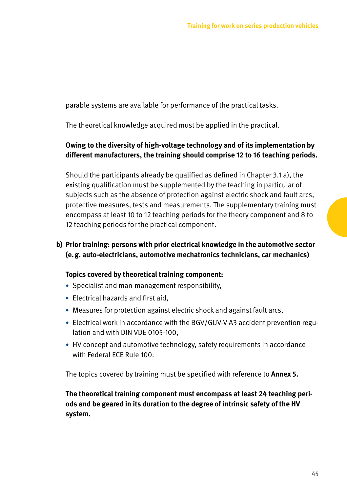parable systems are available for performance of the practical tasks.

The theoretical knowledge acquired must be applied in the practical.

#### **Owing to the diversity of high-voltage technology and of its implementation by different manufacturers, the training should comprise 12 to 16 teaching periods.**

Should the participants already be qualified as defined in Chapter 3.1 a), the existing qualification must be supplemented by the teaching in particular of subjects such as the absence of protection against electric shock and fault arcs, protective measures, tests and measurements. The supplementary training must encompass at least 10 to 12 teaching periods for the theory component and 8 to 12 teaching periods for the practical component.

#### **b) Prior training: persons with prior electrical knowledge in the automotive sector (e.g. auto-electricians, automotive mechatronics technicians, car mechanics)**

#### **Topics covered by theoretical training component:**

- Specialist and man-management responsibility,
- Electrical hazards and first aid,
- Measures for protection against electric shock and against fault arcs,
- Electrical work in accordance with the BGV/GUV-V A3 accident prevention regulation and with DIN VDE 0105-100,
- HV concept and automotive technology, safety requirements in accordance with Federal ECE Rule 100.

The topics covered by training must be specified with reference to **Annex 5.**

#### **The theoretical training component must encompass at least 24 teaching periods and be geared in its duration to the degree of intrinsic safety of the HV system.**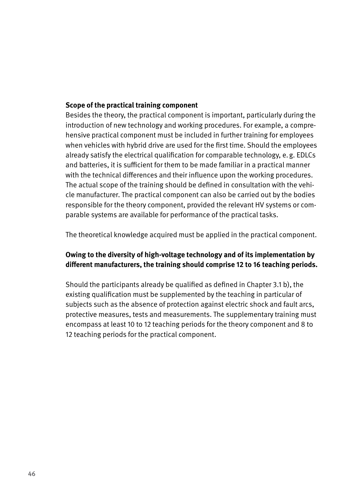#### **Scope of the practical training component**

Besides the theory, the practical component is important, particularly during the introduction of new technology and working procedures. For example, a comprehensive practical component must be included in further training for employees when vehicles with hybrid drive are used for the first time. Should the employees already satisfy the electrical qualification for comparable technology, e.g. EDLCs and batteries, it is sufficient for them to be made familiar in a practical manner with the technical differences and their influence upon the working procedures. The actual scope of the training should be defined in consultation with the vehicle manufacturer. The practical component can also be carried out by the bodies responsible for the theory component, provided the relevant HV systems or comparable systems are available for performance of the practical tasks.

The theoretical knowledge acquired must be applied in the practical component.

#### **Owing to the diversity of high-voltage technology and of its implementation by different manufacturers, the training should comprise 12 to 16 teaching periods.**

Should the participants already be qualified as defined in Chapter 3.1 b), the existing qualification must be supplemented by the teaching in particular of subjects such as the absence of protection against electric shock and fault arcs, protective measures, tests and measurements. The supplementary training must encompass at least 10 to 12 teaching periods for the theory component and 8 to 12 teaching periods for the practical component.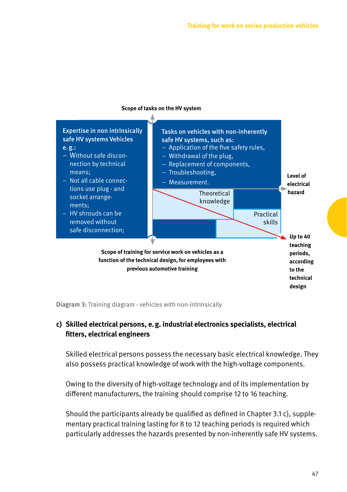

#### **Scope of tasks on the HV system**

Diagram 3: Training diagram - vehicles with non-intrinsically

#### **c) Skilled electrical persons, e.g. industrial electronics specialists, electrical fitters, electrical engineers**

Skilled electrical persons possess the necessary basic electrical knowledge. They also possess practical knowledge of work with the high-voltage components.

Owing to the diversity of high-voltage technology and of its implementation by different manufacturers, the training should comprise 12 to 16 teaching.

Should the participants already be qualified as defined in Chapter 3.1 c), supplementary practical training lasting for 8 to 12 teaching periods is required which particularly addresses the hazards presented by non-inherently safe HV systems.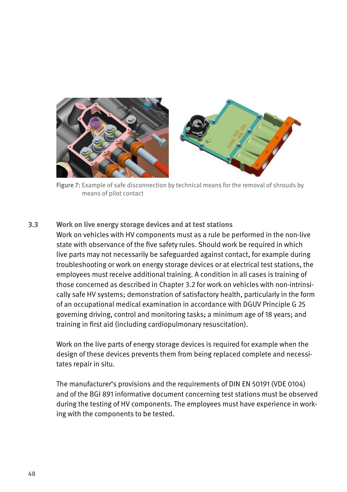

Figure 7: Example of safe disconnection by technical means for the removal of shrouds by means of pilot contact

**3.3 Work on live energy storage devices and at test stations** Work on vehicles with HV components must as a rule be performed in the non-live state with observance of the five safety rules. Should work be required in which live parts may not necessarily be safeguarded against contact, for example during troubleshooting or work on energy storage devices or at electrical test stations, the employees must receive additional training. A condition in all cases is training of those concerned as described in Chapter 3.2 for work on vehicles with non-intrinsically safe HV systems; demonstration of satisfactory health, particularly in the form of an occupational medical examination in accordance with DGUV Principle G 25 governing driving, control and monitoring tasks; a minimum age of 18 years; and training in first aid (including cardiopulmonary resuscitation).

Work on the live parts of energy storage devices is required for example when the design of these devices prevents them from being replaced complete and necessitates repair in situ.

The manufacturer's provisions and the requirements of DIN EN 50191 (VDE 0104) and of the BGI 891 informative document concerning test stations must be observed during the testing of HV components. The employees must have experience in working with the components to be tested.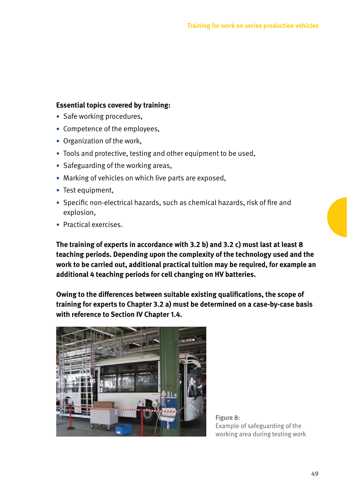#### **Essential topics covered by training:**

- Safe working procedures,
- Competence of the employees,
- Organization of the work,
- Tools and protective, testing and other equipment to be used.
- Safeguarding of the working areas,
- Marking of vehicles on which live parts are exposed,
- Test equipment,
- Specific non-electrical hazards, such as chemical hazards, risk of fire and explosion,
- Practical exercises.

**The training of experts in accordance with 3.2 b) and 3.2 c) must last at least 8 teaching periods. Depending upon the complexity of the technology used and the work to be carried out, additional practical tuition may be required, for example an additional 4 teaching periods for cell changing on HV batteries.**

**Owing to the differences between suitable existing qualifications, the scope of training for experts to Chapter 3.2 a) must be determined on a case-by-case basis with reference to Section IV Chapter 1.4.**



Figure 8: Example of safeguarding of the working area during testing work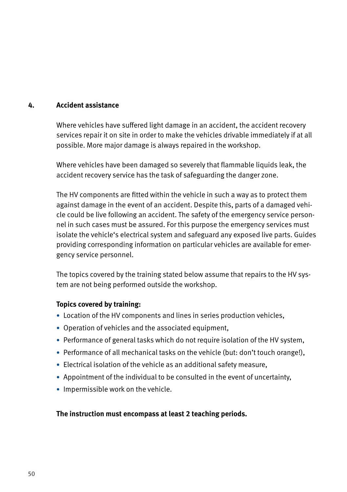#### **4. Accident assistance**

Where vehicles have suffered light damage in an accident, the accident recovery services repair it on site in order to make the vehicles drivable immediately if at all possible. More major damage is always repaired in the workshop.

Where vehicles have been damaged so severely that flammable liquids leak, the accident recovery service has the task of safeguarding the danger zone.

The HV components are fitted within the vehicle in such a way as to protect them against damage in the event of an accident. Despite this, parts of a damaged vehicle could be live following an accident. The safety of the emergency service personnel in such cases must be assured. For this purpose the emergency services must isolate the vehicle's electrical system and safeguard any exposed live parts. Guides providing corresponding information on particular vehicles are available for emergency service personnel.

The topics covered by the training stated below assume that repairs to the HV system are not being performed outside the workshop.

#### **Topics covered by training:**

- Location of the HV components and lines in series production vehicles,
- Operation of vehicles and the associated equipment,
- Performance of general tasks which do not require isolation of the HV system,
- Performance of all mechanical tasks on the vehicle (but: don't touch orange!),
- Electrical isolation of the vehicle as an additional safety measure,
- Appointment of the individual to be consulted in the event of uncertainty,
- Impermissible work on the vehicle.

#### **The instruction must encompass at least 2 teaching periods.**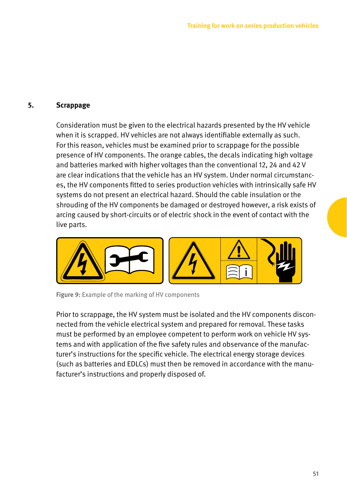#### **5. Scrappage**

Consideration must be given to the electrical hazards presented by the HV vehicle when it is scrapped. HV vehicles are not always identifiable externally as such. For this reason, vehicles must be examined prior to scrappage for the possible presence of HV components. The orange cables, the decals indicating high voltage and batteries marked with higher voltages than the conventional 12, 24 and 42 V are clear indications that the vehicle has an HV system. Under normal circumstances, the HV components fitted to series production vehicles with intrinsically safe HV systems do not present an electrical hazard. Should the cable insulation or the shrouding of the HV components be damaged or destroyed however, a risk exists of arcing caused by short-circuits or of electric shock in the event of contact with the live parts.



Figure 9: Example of the marking of HV components

Prior to scrappage, the HV system must be isolated and the HV components disconnected from the vehicle electrical system and prepared for removal. These tasks must be performed by an employee competent to perform work on vehicle HV systems and with application of the five safety rules and observance of the manufacturer's instructions for the specific vehicle. The electrical energy storage devices (such as batteries and EDLCs) must then be removed in accordance with the manufacturer's instructions and properly disposed of.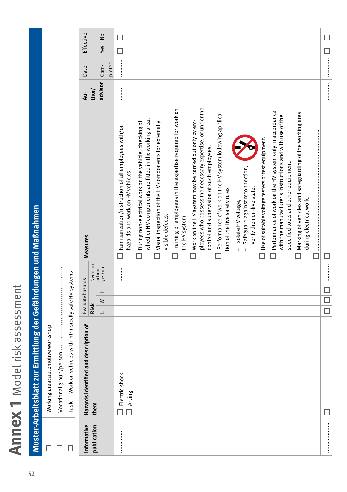Annex 1 Model risk assessment **Annex 1** Model risk assessment

|             | Muster-Arbeitsblatt zur Ermittlung der Gefährdungen und Maßnahmen                     |                                     |                              |                                                                                                                                                                        |          |                                                                                                                                                                                                                                                                                                                                                                                                                                                                                                                                 |           |               |
|-------------|---------------------------------------------------------------------------------------|-------------------------------------|------------------------------|------------------------------------------------------------------------------------------------------------------------------------------------------------------------|----------|---------------------------------------------------------------------------------------------------------------------------------------------------------------------------------------------------------------------------------------------------------------------------------------------------------------------------------------------------------------------------------------------------------------------------------------------------------------------------------------------------------------------------------|-----------|---------------|
|             | Working area: automotive workshop                                                     |                                     |                              |                                                                                                                                                                        |          |                                                                                                                                                                                                                                                                                                                                                                                                                                                                                                                                 |           |               |
|             |                                                                                       |                                     |                              |                                                                                                                                                                        |          |                                                                                                                                                                                                                                                                                                                                                                                                                                                                                                                                 |           |               |
| □           | Work on vehicles with intrinsically safe HV systems<br>Task                           |                                     |                              |                                                                                                                                                                        |          |                                                                                                                                                                                                                                                                                                                                                                                                                                                                                                                                 |           |               |
| Informative | Hazards identified and description of                                                 | Evaluate hazards                    |                              | Measures                                                                                                                                                               | å        | Date                                                                                                                                                                                                                                                                                                                                                                                                                                                                                                                            | Effective |               |
| publication | them                                                                                  | <b>Risk</b>                         |                              |                                                                                                                                                                        | thor/    |                                                                                                                                                                                                                                                                                                                                                                                                                                                                                                                                 |           |               |
|             |                                                                                       | H<br>Σ<br>$\overline{\phantom{0}}$  | Need for<br>action<br>yes/no |                                                                                                                                                                        | advisor  | pleted<br>Com-                                                                                                                                                                                                                                                                                                                                                                                                                                                                                                                  | Yes       | $\frac{1}{2}$ |
|             | Electric shock<br>$\begin{array}{ c } \hline \hline \hline \hline \end{array}$ Arcing |                                     |                              | In Familiarization/instruction of all employees with/on<br>hazards and work on HV vehicles.                                                                            | $\vdots$ |                                                                                                                                                                                                                                                                                                                                                                                                                                                                                                                                 | $\Box$    | □             |
|             |                                                                                       |                                     |                              | whether HV components are fitted in the working area.<br>During non-electrical work on the vehicle, checking of                                                        |          |                                                                                                                                                                                                                                                                                                                                                                                                                                                                                                                                 |           |               |
|             |                                                                                       |                                     |                              | $\Box$ Visual inspection of the HV components for externally<br>visible defects.                                                                                       |          |                                                                                                                                                                                                                                                                                                                                                                                                                                                                                                                                 |           |               |
|             |                                                                                       |                                     |                              | $\Box$ Training of employees in the expertise required for work on<br>the HV system.                                                                                   |          |                                                                                                                                                                                                                                                                                                                                                                                                                                                                                                                                 |           |               |
|             |                                                                                       |                                     |                              | ployees who possess the necessary expertise, or under the<br>$\Box$ Work on the HV system may be carried out only by em-<br>control and supervision of such employees. |          |                                                                                                                                                                                                                                                                                                                                                                                                                                                                                                                                 |           |               |
|             |                                                                                       |                                     |                              | Performance of work on the HV system following applica-<br>tion of the five safety rules                                                                               |          |                                                                                                                                                                                                                                                                                                                                                                                                                                                                                                                                 |           |               |
|             |                                                                                       |                                     |                              | - Safeguard against reconnection,<br>Verify the non-live state.<br>- Isolate HV voltage,                                                                               |          |                                                                                                                                                                                                                                                                                                                                                                                                                                                                                                                                 |           |               |
|             |                                                                                       |                                     |                              | Use of suitable voltage testers or test equipment.                                                                                                                     |          |                                                                                                                                                                                                                                                                                                                                                                                                                                                                                                                                 |           |               |
|             |                                                                                       |                                     |                              | $\Box$ Performance of work on the HV system only in accordance<br>with the manufacturer's instructions and with use of the<br>specified tools and other equipment.     |          |                                                                                                                                                                                                                                                                                                                                                                                                                                                                                                                                 |           |               |
|             |                                                                                       |                                     |                              | Marking of vehicles and safeguarding of the working area<br>during electrical work.                                                                                    |          |                                                                                                                                                                                                                                                                                                                                                                                                                                                                                                                                 |           |               |
|             |                                                                                       |                                     |                              |                                                                                                                                                                        |          |                                                                                                                                                                                                                                                                                                                                                                                                                                                                                                                                 |           |               |
|             | □                                                                                     | $\frac{\square}{\square}$<br>$\Box$ |                              | □                                                                                                                                                                      |          | $\begin{bmatrix} \vdots & \vdots & \vdots & \vdots \\ \vdots & \vdots & \vdots & \vdots \\ \vdots & \vdots & \vdots & \vdots \\ \vdots & \vdots & \vdots & \vdots \\ \vdots & \vdots & \vdots & \vdots \\ \vdots & \vdots & \vdots & \vdots \\ \vdots & \vdots & \vdots & \vdots \\ \vdots & \vdots & \vdots & \vdots \\ \vdots & \vdots & \vdots & \vdots \\ \vdots & \vdots & \vdots & \vdots \\ \vdots & \vdots & \vdots & \vdots \\ \vdots & \vdots & \vdots & \vdots \\ \vdots & \vdots & \vdots & \vdots \\ \vdots & \vd$ | $\Box$    | □             |
|             |                                                                                       |                                     |                              |                                                                                                                                                                        |          |                                                                                                                                                                                                                                                                                                                                                                                                                                                                                                                                 |           |               |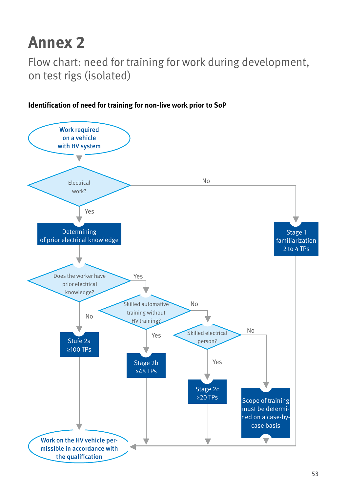Flow chart: need for training for work during development, on test rigs (isolated)



#### **Identification of need for training for non-live work prior to SoP**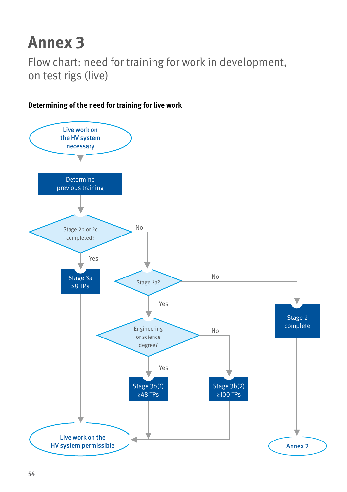Flow chart: need for training for work in development, on test rigs (live)



#### **Determining of the need for training for live work**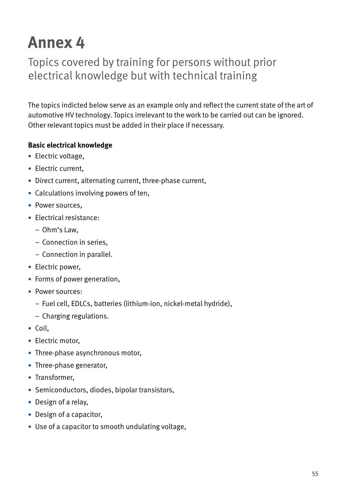Topics covered by training for persons without prior electrical knowledge but with technical training

The topics indicted below serve as an example only and reflect the current state of the art of automotive HV technology. Topics irrelevant to the work to be carried out can be ignored. Other relevant topics must be added in their place if necessary.

#### **Basic electrical knowledge**

- Electric voltage,
- Electric current.
- Direct current, alternating current, three-phase current,
- Calculations involving powers of ten,
- Power sources.
- Electrical resistance:
	- Ohm's Law,
	- Connection in series,
	- Connection in parallel.
- Electric power,
- Forms of power generation,
- Power sources:
	- Fuel cell, EDLCs, batteries (lithium-ion, nickel-metal hydride),
	- Charging regulations.
- Coil,
- Electric motor.
- Three-phase asynchronous motor,
- Three-phase generator,
- Transformer,
- Semiconductors, diodes, bipolar transistors,
- Design of a relay,
- Design of a capacitor,
- Use of a capacitor to smooth undulating voltage,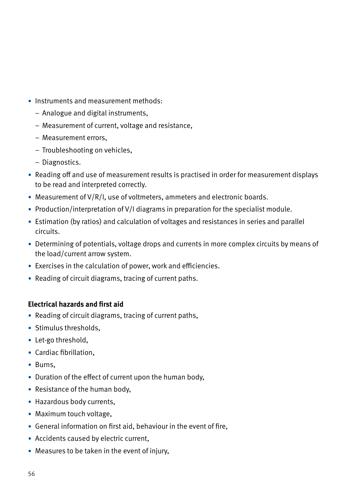- Instruments and measurement methods:
	- Analogue and digital instruments,
	- Measurement of current, voltage and resistance,
	- Measurement errors,
	- Troubleshooting on vehicles,
	- Diagnostics.
- Reading off and use of measurement results is practised in order for measurement displays to be read and interpreted correctly.
- Measurement of V/R/I, use of voltmeters, ammeters and electronic boards.
- Production/interpretation of V/I diagrams in preparation for the specialist module.
- Estimation (by ratios) and calculation of voltages and resistances in series and parallel circuits.
- Determining of potentials, voltage drops and currents in more complex circuits by means of the load/current arrow system.
- Exercises in the calculation of power, work and efficiencies.
- Reading of circuit diagrams, tracing of current paths.

#### **Electrical hazards and first aid**

- Reading of circuit diagrams, tracing of current paths,
- Stimulus thresholds,
- Let-go threshold,
- Cardiac fibrillation,
- Burns,
- Duration of the effect of current upon the human body,
- Resistance of the human body,
- Hazardous body currents,
- Maximum touch voltage,
- General information on first aid, behaviour in the event of fire,
- Accidents caused by electric current,
- Measures to be taken in the event of injury,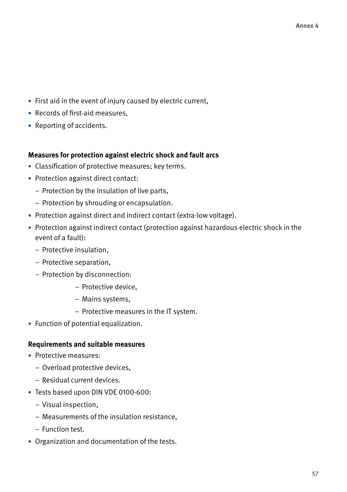- First aid in the event of injury caused by electric current,
- Records of first-aid measures,
- Reporting of accidents.

#### **Measures for protection against electric shock and fault arcs**

- Classification of protective measures; key terms.
- Protection against direct contact:
	- Protection by the insulation of live parts,
	- Protection by shrouding or encapsulation.
- Protection against direct and indirect contact (extra-low voltage).
- Protection against indirect contact (protection against hazardous electric shock in the event of a fault):
	- Protective insulation,
	- Protective separation,
	- Protection by disconnection:
		- Protective device,
		- Mains systems,
		- Protective measures in the IT system.
- Function of potential equalization.

#### **Requirements and suitable measures**

- Protective measures:
	- Overload protective devices,
	- Residual current devices.
- Tests based upon DIN VDE 0100-600:
	- Visual inspection,
	- Measurements of the insulation resistance,
	- Function test.
- Organization and documentation of the tests.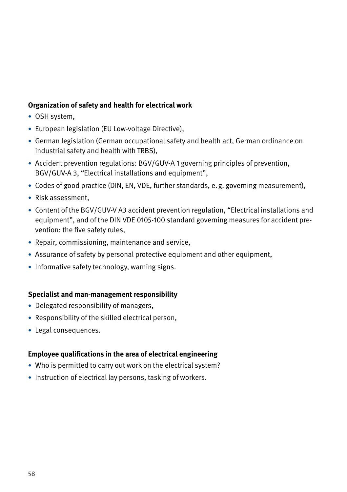#### **Organization of safety and health for electrical work**

- OSH system,
- European legislation (EU Low-voltage Directive),
- German legislation (German occupational safety and health act, German ordinance on industrial safety and health with TRBS),
- Accident prevention regulations: BGV/GUV-A 1 governing principles of prevention, BGV/GUV-A 3, "Electrical installations and equipment",
- Codes of good practice (DIN, EN, VDE, further standards, e.g. governing measurement),
- Risk assessment,
- Content of the BGV/GUV-V A3 accident prevention regulation, "Electrical installations and equipment", and of the DIN VDE 0105-100 standard governing measures for accident prevention: the five safety rules,
- Repair, commissioning, maintenance and service,
- Assurance of safety by personal protective equipment and other equipment,
- Informative safety technology, warning signs.

#### **Specialist and man-management responsibility**

- Delegated responsibility of managers,
- Responsibility of the skilled electrical person,
- Legal consequences.

#### **Employee qualifications in the area of electrical engineering**

- Who is permitted to carry out work on the electrical system?
- Instruction of electrical lay persons, tasking of workers.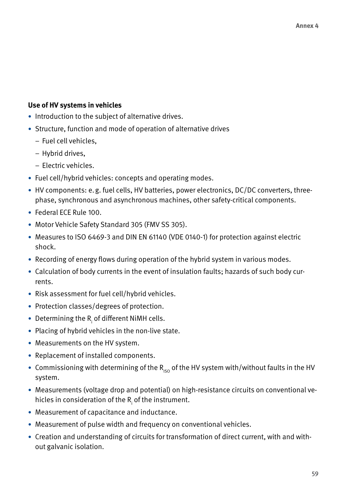#### **Use of HV systems in vehicles**

- Introduction to the subject of alternative drives.
- Structure, function and mode of operation of alternative drives
	- Fuel cell vehicles,
	- Hybrid drives,
	- Electric vehicles.
- Fuel cell/hybrid vehicles: concepts and operating modes.
- HV components: e.g. fuel cells, HV batteries, power electronics, DC/DC converters, threephase, synchronous and asynchronous machines, other safety-critical components.
- Federal ECE Rule 100.
- Motor Vehicle Safety Standard 305 (FMV SS 305).
- Measures to ISO 6469-3 and DIN EN 61140 (VDE 0140-1) for protection against electric shock.
- Recording of energy flows during operation of the hybrid system in various modes.
- Calculation of body currents in the event of insulation faults; hazards of such body currents.
- Risk assessment for fuel cell/hybrid vehicles.
- Protection classes/degrees of protection.
- $\bullet\,$  Determining the R $_{\mathsf{i}}$  of different NiMH cells.
- Placing of hybrid vehicles in the non-live state.
- Measurements on the HV system.
- Replacement of installed components.
- Commissioning with determining of the  $R_{\text{iso}}$  of the HV system with/without faults in the HV system.
- Measurements (voltage drop and potential) on high-resistance circuits on conventional vehicles in consideration of the  $\mathsf{R}_{_\mathsf{i}}$  of the instrument.
- Measurement of capacitance and inductance.
- Measurement of pulse width and frequency on conventional vehicles.
- Creation and understanding of circuits for transformation of direct current, with and without galvanic isolation.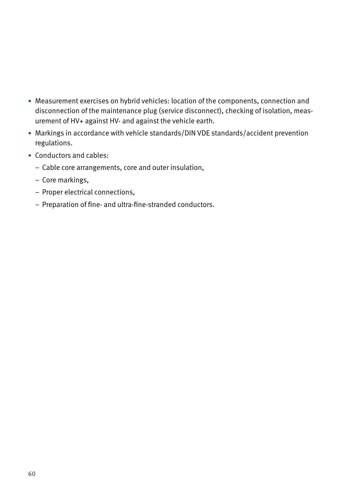- Measurement exercises on hybrid vehicles: location of the components, connection and disconnection of the maintenance plug (service disconnect), checking of isolation, measurement of HV+ against HV- and against the vehicle earth.
- Markings in accordance with vehicle standards/DIN VDE standards/accident prevention regulations.
- Conductors and cables:
	- Cable core arrangements, core and outer insulation,
	- Core markings,
	- Proper electrical connections,
	- Preparation of fine- and ultra-fine-stranded conductors.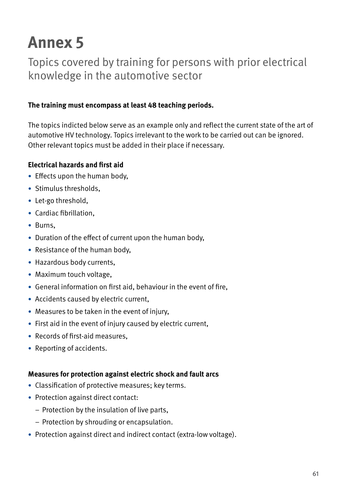Topics covered by training for persons with prior electrical knowledge in the automotive sector

#### **The training must encompass at least 48 teaching periods.**

The topics indicted below serve as an example only and reflect the current state of the art of automotive HV technology. Topics irrelevant to the work to be carried out can be ignored. Other relevant topics must be added in their place if necessary.

#### **Electrical hazards and first aid**

- Effects upon the human body,
- Stimulus thresholds,
- Let-go threshold,
- Cardiac fibrillation,
- Burns,
- Duration of the effect of current upon the human body,
- Resistance of the human body,
- Hazardous body currents,
- Maximum touch voltage,
- General information on first aid, behaviour in the event of fire,
- Accidents caused by electric current,
- Measures to be taken in the event of injury,
- First aid in the event of injury caused by electric current,
- Records of first-aid measures,
- Reporting of accidents.

#### **Measures for protection against electric shock and fault arcs**

- Classification of protective measures; key terms.
- Protection against direct contact:
	- Protection by the insulation of live parts,
	- Protection by shrouding or encapsulation.
- Protection against direct and indirect contact (extra-low voltage).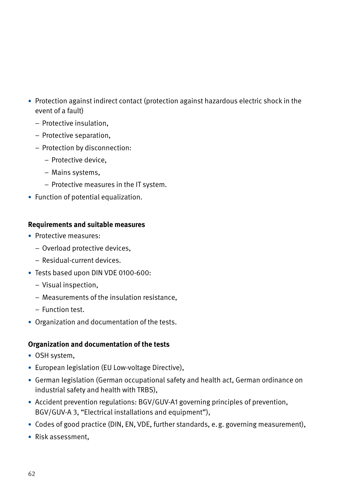- Protection against indirect contact (protection against hazardous electric shock in the event of a fault)
	- Protective insulation,
	- Protective separation,
	- Protection by disconnection:
		- Protective device,
		- Mains systems,
		- Protective measures in the IT system.
- Function of potential equalization.

#### **Requirements and suitable measures**

- Protective measures:
	- Overload protective devices,
	- Residual-current devices.
- Tests based upon DIN VDE 0100-600:
	- Visual inspection,
	- Measurements of the insulation resistance,
	- Function test.
- Organization and documentation of the tests.

#### **Organization and documentation of the tests**

- OSH system,
- European legislation (EU Low-voltage Directive),
- German legislation (German occupational safety and health act, German ordinance on industrial safety and health with TRBS),
- Accident prevention regulations: BGV/GUV-A1 governing principles of prevention, BGV/GUV-A 3, "Electrical installations and equipment"),
- Codes of good practice (DIN, EN, VDE, further standards, e.g. governing measurement),
- Risk assessment,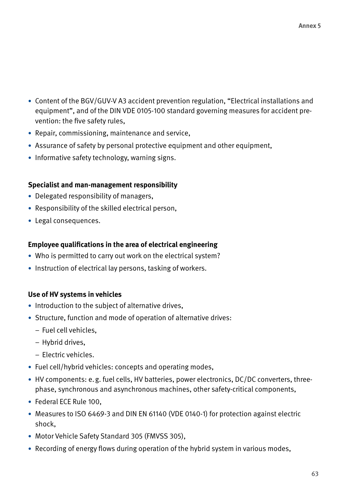- Content of the BGV/GUV-V A3 accident prevention regulation, "Electrical installations and equipment", and of the DIN VDE 0105-100 standard governing measures for accident prevention: the five safety rules,
- Repair, commissioning, maintenance and service,
- Assurance of safety by personal protective equipment and other equipment,
- Informative safety technology, warning signs.

#### **Specialist and man-management responsibility**

- Delegated responsibility of managers,
- Responsibility of the skilled electrical person,
- Legal consequences.

#### **Employee qualifications in the area of electrical engineering**

- Who is permitted to carry out work on the electrical system?
- Instruction of electrical lay persons, tasking of workers.

#### **Use of HV systems in vehicles**

- Introduction to the subject of alternative drives,
- Structure, function and mode of operation of alternative drives:
	- Fuel cell vehicles,
	- Hybrid drives,
	- Electric vehicles.
- Fuel cell/hybrid vehicles: concepts and operating modes,
- HV components: e.g. fuel cells, HV batteries, power electronics, DC/DC converters, threephase, synchronous and asynchronous machines, other safety-critical components,
- Federal ECE Rule 100,
- Measures to ISO 6469-3 and DIN EN 61140 (VDE 0140-1) for protection against electric shock,
- Motor Vehicle Safety Standard 305 (FMVSS 305),
- Recording of energy flows during operation of the hybrid system in various modes,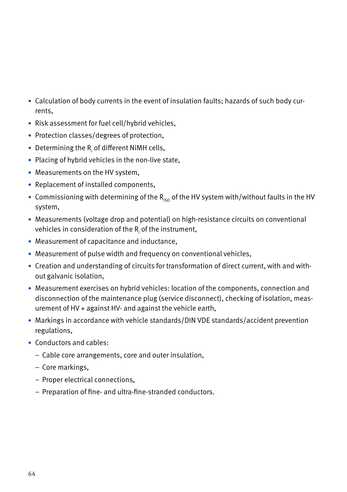- Calculation of body currents in the event of insulation faults; hazards of such body currents,
- Risk assessment for fuel cell/hybrid vehicles,
- Protection classes/degrees of protection,
- $\bullet\,$  Determining the R $_{\mathsf{i}}$  of different NiMH cells,
- Placing of hybrid vehicles in the non-live state,
- Measurements on the HV system,
- Replacement of installed components,
- Commissioning with determining of the  $R_{\text{iso}}$  of the HV system with/without faults in the HV system,
- Measurements (voltage drop and potential) on high-resistance circuits on conventional vehicles in consideration of the R<sub>i</sub> of the instrument**,**
- Measurement of capacitance and inductance,
- Measurement of pulse width and frequency on conventional vehicles,
- Creation and understanding of circuits for transformation of direct current, with and without galvanic isolation,
- Measurement exercises on hybrid vehicles: location of the components, connection and disconnection of the maintenance plug (service disconnect), checking of isolation, measurement of HV + against HV- and against the vehicle earth,
- Markings in accordance with vehicle standards/DIN VDE standards/accident prevention regulations,
- Conductors and cables:
	- Cable core arrangements, core and outer insulation,
	- Core markings,
	- Proper electrical connections,
	- Preparation of fine- and ultra-fine-stranded conductors.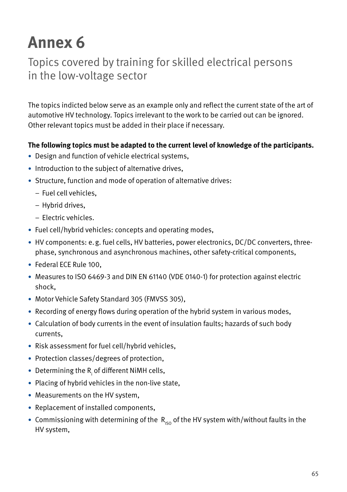### Topics covered by training for skilled electrical persons in the low-voltage sector

The topics indicted below serve as an example only and reflect the current state of the art of automotive HV technology. Topics irrelevant to the work to be carried out can be ignored. Other relevant topics must be added in their place if necessary.

#### **The following topics must be adapted to the current level of knowledge of the participants.**

- Design and function of vehicle electrical systems,
- Introduction to the subject of alternative drives,
- Structure, function and mode of operation of alternative drives:
	- Fuel cell vehicles,
	- Hybrid drives,
	- Electric vehicles.
- Fuel cell/hybrid vehicles: concepts and operating modes,
- HV components: e.g. fuel cells, HV batteries, power electronics, DC/DC converters, threephase, synchronous and asynchronous machines, other safety-critical components,
- Federal ECE Rule 100,
- Measures to ISO 6469-3 and DIN EN 61140 (VDE 0140-1) for protection against electric shock,
- Motor Vehicle Safety Standard 305 (FMVSS 305),
- Recording of energy flows during operation of the hybrid system in various modes,
- Calculation of body currents in the event of insulation faults; hazards of such body currents,
- Risk assessment for fuel cell/hybrid vehicles,
- Protection classes/degrees of protection,
- $\bullet\,$  Determining the R $_{\mathsf{i}}$  of different NiMH cells,
- Placing of hybrid vehicles in the non-live state,
- Measurements on the HV system,
- Replacement of installed components,
- Commissioning with determining of the  $R_{\text{iso}}$  of the HV system with/without faults in the HV system,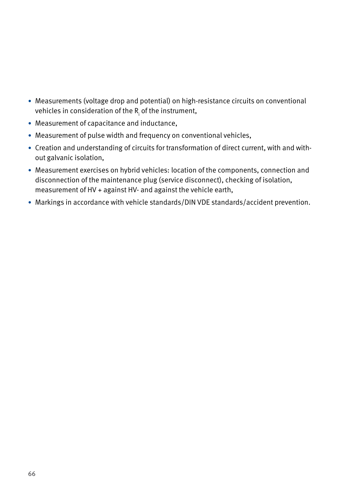- Measurements (voltage drop and potential) on high-resistance circuits on conventional vehicles in consideration of the R<sub>i</sub> of the instrument**,**
- Measurement of capacitance and inductance,
- Measurement of pulse width and frequency on conventional vehicles,
- Creation and understanding of circuits for transformation of direct current, with and without galvanic isolation,
- Measurement exercises on hybrid vehicles: location of the components, connection and disconnection of the maintenance plug (service disconnect), checking of isolation, measurement of HV + against HV- and against the vehicle earth,
- Markings in accordance with vehicle standards/DIN VDE standards/accident prevention.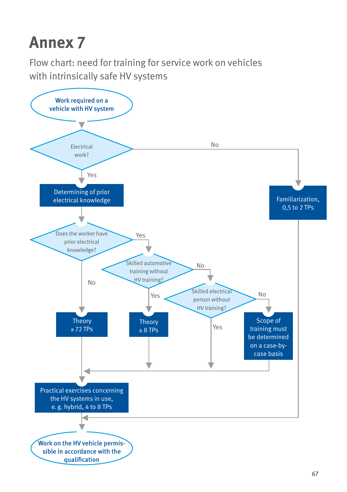Flow chart: need for training for service work on vehicles with intrinsically safe HV systems

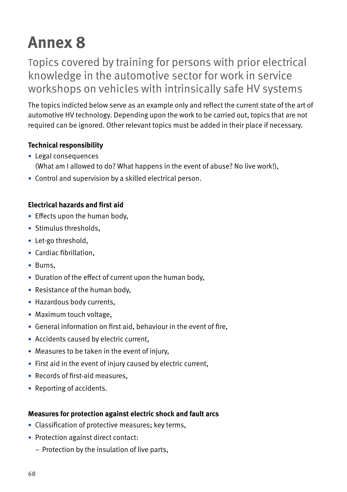Topics covered by training for persons with prior electrical knowledge in the automotive sector for work in service workshops on vehicles with intrinsically safe HV systems

The topics indicted below serve as an example only and reflect the current state of the art of automotive HV technology. Depending upon the work to be carried out, topics that are not required can be ignored. Other relevant topics must be added in their place if necessary.

#### **Technical responsibility**

- Legal consequences (What am I allowed to do? What happens in the event of abuse? No live work!),
- Control and supervision by a skilled electrical person.

#### **Electrical hazards and first aid**

- Effects upon the human body,
- Stimulus thresholds,
- Let-go threshold,
- Cardiac fibrillation,
- Burns,
- Duration of the effect of current upon the human body,
- Resistance of the human body,
- Hazardous body currents,
- Maximum touch voltage,
- General information on first aid, behaviour in the event of fire,
- Accidents caused by electric current,
- Measures to be taken in the event of injury,
- First aid in the event of injury caused by electric current,
- Records of first-aid measures,
- Reporting of accidents.

#### **Measures for protection against electric shock and fault arcs**

- Classification of protective measures; key terms,
- Protection against direct contact:
	- Protection by the insulation of live parts,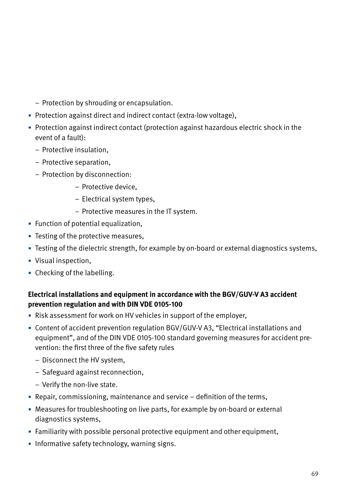- Protection by shrouding or encapsulation.
- Protection against direct and indirect contact (extra-low voltage),
- Protection against indirect contact (protection against hazardous electric shock in the event of a fault):
	- Protective insulation,
	- Protective separation,
	- Protection by disconnection:
		- Protective device,
		- Electrical system types,
		- Protective measures in the IT system.
- Function of potential equalization,
- Testing of the protective measures,
- Testing of the dielectric strength, for example by on-board or external diagnostics systems,
- Visual inspection,
- Checking of the labelling.

#### **Electrical installations and equipment in accordance with the BGV/GUV-V A3 accident prevention regulation and with DIN VDE 0105-100**

- Risk assessment for work on HV vehicles in support of the employer,
- Content of accident prevention regulation BGV/GUV-V A3, "Electrical installations and equipment", and of the DIN VDE 0105-100 standard governing measures for accident prevention: the first three of the five safety rules
	- Disconnect the HV system,
	- Safeguard against reconnection,
	- Verify the non-live state.
- Repair, commissioning, maintenance and service definition of the terms,
- Measures for troubleshooting on live parts, for example by on-board or external diagnostics systems,
- Familiarity with possible personal protective equipment and other equipment,
- Informative safety technology, warning signs.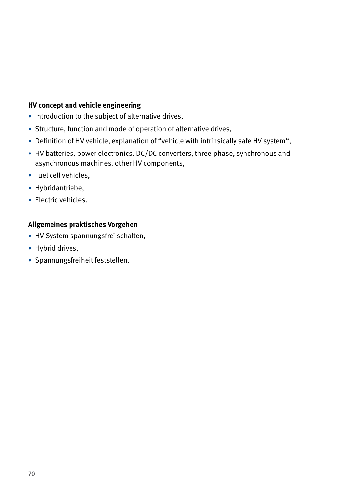#### **HV concept and vehicle engineering**

- Introduction to the subject of alternative drives,
- Structure, function and mode of operation of alternative drives,
- Definition of HV vehicle, explanation of "vehicle with intrinsically safe HV system",
- HV batteries, power electronics, DC/DC converters, three-phase, synchronous and asynchronous machines, other HV components,
- Fuel cell vehicles,
- Hybridantriebe,
- Electric vehicles.

#### **Allgemeines praktisches Vorgehen**

- HV-System spannungsfrei schalten,
- Hybrid drives,
- Spannungsfreiheit feststellen.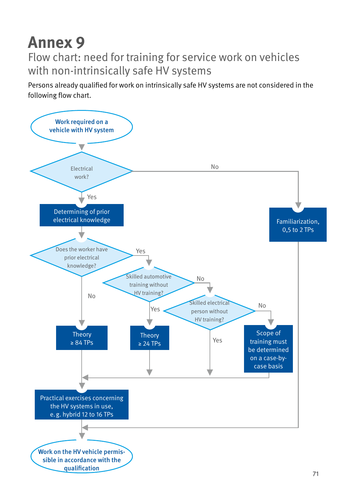Flow chart: need for training for service work on vehicles with non-intrinsically safe HV systems

Persons already qualified for work on intrinsically safe HV systems are not considered in the following flow chart.

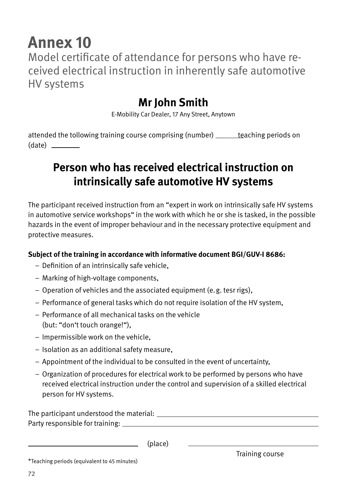Model certificate of attendance for persons who have received electrical instruction in inherently safe automotive HV systems

### **Mr John Smith**

E-Mobility Car Dealer, 17 Any Street, Anytown

attended the tollowing training course comprising (number) teaching periods on (date)

### **Person who has received electrical instruction on intrinsically safe automotive HV systems**

The participant received instruction from an "expert in work on intrinsically safe HV systems in automotive service workshops" in the work with which he or she is tasked, in the possible hazards in the event of improper behaviour and in the necessary protective equipment and protective measures.

#### **Subject of the training in accordance with informative document BGI/GUV-I 8686:**

- Definition of an intrinsically safe vehicle,
- Marking of high-voltage components,
- Operation of vehicles and the associated equipment (e.g. tesr rigs),
- Performance of general tasks which do not require isolation of the HV system,
- Performance of all mechanical tasks on the vehicle (but: "don't touch orange!"),
- Impermissible work on the vehicle,
- Isolation as an additional safety measure,
- Appointment of the individual to be consulted in the event of uncertainty,
- Organization of procedures for electrical work to be performed by persons who have received electrical instruction under the control and supervision of a skilled electrical person for HV systems.

The participant understood the material: Party responsible for training:

(place)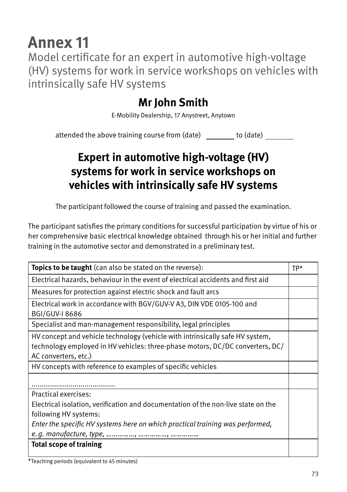## **Annex 11**

Model certificate for an expert in automotive high-voltage (HV) systems for work in service workshops on vehicles with intrinsically safe HV systems

### **Mr John Smith**

E-Mobility Dealership, 17 Anystreet, Anytown

attended the above training course from (date) to (date)

### **Expert in automotive high-voltage (HV) systems for work in service workshops on vehicles with intrinsically safe HV systems**

The participant followed the course of training and passed the examination.

The participant satisfies the primary conditions for successful participation by virtue of his or her comprehensive basic electrical knowledge obtained through his or her initial and further training in the automotive sector and demonstrated in a preliminary test.

| <b>Topics to be taught</b> (can also be stated on the reverse):                   | $TP*$ |
|-----------------------------------------------------------------------------------|-------|
| Electrical hazards, behaviour in the event of electrical accidents and first aid  |       |
| Measures for protection against electric shock and fault arcs                     |       |
| Electrical work in accordance with BGV/GUV-V A3, DIN VDE 0105-100 and             |       |
| <b>BGI/GUV-I 8686</b>                                                             |       |
| Specialist and man-management responsibility, legal principles                    |       |
| HV concept and vehicle technology (vehicle with intrinsically safe HV system,     |       |
| technology employed in HV vehicles: three-phase motors, DC/DC converters, DC/     |       |
| AC converters, etc.)                                                              |       |
| HV concepts with reference to examples of specific vehicles                       |       |
|                                                                                   |       |
| Practical exercises:                                                              |       |
| Electrical isolation, verification and documentation of the non-live state on the |       |
| following HV systems:                                                             |       |
| Enter the specific HV systems here on which practical training was performed,     |       |
|                                                                                   |       |
| <b>Total scope of training</b>                                                    |       |
|                                                                                   |       |

\*Teaching periods (equivalent to 45 minutes)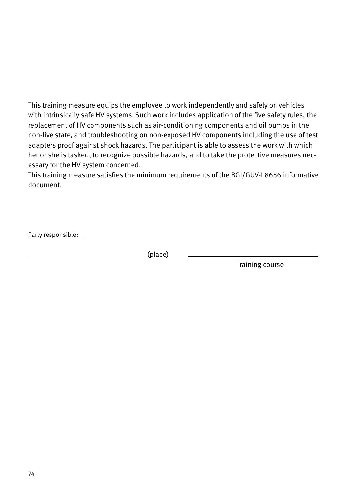This training measure equips the employee to work independently and safely on vehicles with intrinsically safe HV systems. Such work includes application of the five safety rules, the replacement of HV components such as air-conditioning components and oil pumps in the non-live state, and troubleshooting on non-exposed HV components including the use of test adapters proof against shock hazards. The participant is able to assess the work with which her or she is tasked, to recognize possible hazards, and to take the protective measures necessary for the HV system concerned.

This training measure satisfies the minimum requirements of the BGI/GUV-I 8686 informative document.

Party responsible:

(place)

Training course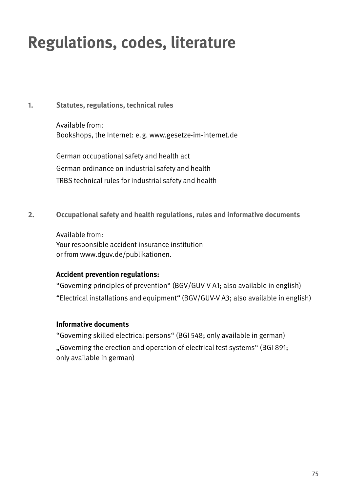# **Regulations, codes, literature**

#### **1. Statutes, regulations, technical rules**

Available from: Bookshops, the Internet: e.g. www.gesetze-im-internet.de

German occupational safety and health act German ordinance on industrial safety and health TRBS technical rules for industrial safety and health

**2. Occupational safety and health regulations, rules and informative documents**

Available from: Your responsible accident insurance institution or from www.dguv.de/publikationen.

#### **Accident prevention regulations:**

"Governing principles of prevention" (BGV/GUV-V A1; also available in english) "Electrical installations and equipment" (BGV/GUV-V A3; also available in english)

#### **Informative documents**

"Governing skilled electrical persons" (BGI 548; only available in german)

"Governing the erection and operation of electrical test systems" (BGI 891; only available in german)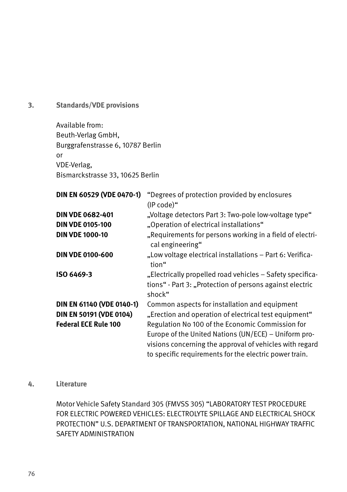**3. Standards/VDE provisions**

Available from: Beuth-Verlag GmbH, Burggrafenstrasse 6, 10787 Berlin or VDE-Verlag, Bismarckstrasse 33, 10625 Berlin

| DIN EN 60529 (VDE 0470-1)   | "Degrees of protection provided by enclosures                                |
|-----------------------------|------------------------------------------------------------------------------|
|                             | $(IP code)$ "                                                                |
| <b>DIN VDE 0682-401</b>     | "Voltage detectors Part 3: Two-pole low-voltage type"                        |
| <b>DIN VDE 0105-100</b>     | "Operation of electrical installations"                                      |
| <b>DIN VDE 1000-10</b>      | "Requirements for persons working in a field of electri-<br>cal engineering" |
| <b>DIN VDE 0100-600</b>     | "Low voltage electrical installations – Part 6: Verifica-<br>tion"           |
| ISO 6469-3                  | "Electrically propelled road vehicles - Safety specifica-                    |
|                             | tions" - Part 3: "Protection of persons against electric                     |
|                             | shock"                                                                       |
| DIN EN 61140 (VDE 0140-1)   | Common aspects for installation and equipment                                |
| DIN EN 50191 (VDE 0104)     | "Erection and operation of electrical test equipment"                        |
| <b>Federal ECE Rule 100</b> | Regulation No 100 of the Economic Commission for                             |
|                             | Europe of the United Nations (UN/ECE) – Uniform pro-                         |
|                             | visions concerning the approval of vehicles with regard                      |
|                             | to specific requirements for the electric power train.                       |

#### **4. Literature**

Motor Vehicle Safety Standard 305 (FMVSS 305) "LABORATORY TEST PROCEDURE FOR ELECTRIC POWERED VEHICLES: ELECTROLYTE SPILLAGE AND ELECTRICAL SHOCK PROTECTION" U.S. DEPARTMENT OF TRANSPORTATION, NATIONAL HIGHWAY TRAFFIC SAFETY ADMINISTRATION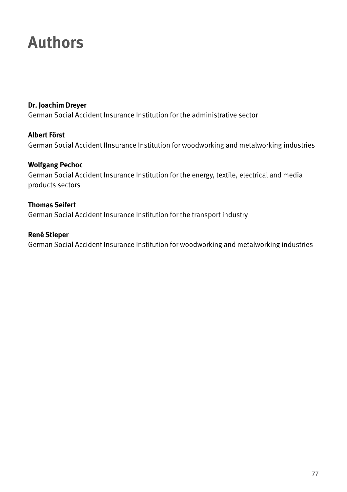## **Authors**

**Dr. Joachim Dreyer** German Social Accident Insurance Institution for the administrative sector

**Albert Först** German Social Accident IInsurance Institution for woodworking and metalworking industries

**Wolfgang Pechoc** German Social Accident Insurance Institution for the energy, textile, electrical and media products sectors

**Thomas Seifert** German Social Accident Insurance Institution for the transport industry

**René Stieper** German Social Accident Insurance Institution for woodworking and metalworking industries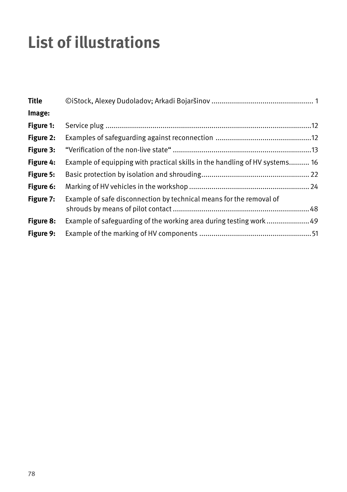# **List of illustrations**

| <b>Title</b> |                                                                             |  |
|--------------|-----------------------------------------------------------------------------|--|
| Image:       |                                                                             |  |
| Figure 1:    |                                                                             |  |
| Figure 2:    |                                                                             |  |
| Figure 3:    |                                                                             |  |
| Figure 4:    | Example of equipping with practical skills in the handling of HV systems 16 |  |
| Figure 5:    |                                                                             |  |
| Figure 6:    |                                                                             |  |
| Figure 7:    | Example of safe disconnection by technical means for the removal of         |  |
| Figure 8:    | Example of safeguarding of the working area during testing work49           |  |
| Figure 9:    |                                                                             |  |